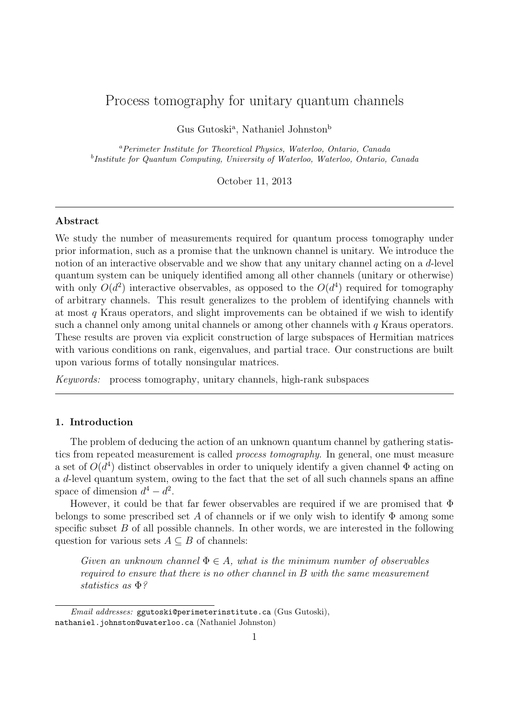# Process tomography for unitary quantum channels

Gus Gutoski<sup>a</sup>, Nathaniel Johnston<sup>b</sup>

<sup>a</sup>Perimeter Institute for Theoretical Physics, Waterloo, Ontario, Canada <sup>b</sup>Institute for Quantum Computing, University of Waterloo, Waterloo, Ontario, Canada

October 11, 2013

# Abstract

We study the number of measurements required for quantum process tomography under prior information, such as a promise that the unknown channel is unitary. We introduce the notion of an interactive observable and we show that any unitary channel acting on a d-level quantum system can be uniquely identified among all other channels (unitary or otherwise) with only  $O(d^2)$  interactive observables, as opposed to the  $O(d^4)$  required for tomography of arbitrary channels. This result generalizes to the problem of identifying channels with at most  $q$  Kraus operators, and slight improvements can be obtained if we wish to identify such a channel only among unital channels or among other channels with  $q$  Kraus operators. These results are proven via explicit construction of large subspaces of Hermitian matrices with various conditions on rank, eigenvalues, and partial trace. Our constructions are built upon various forms of totally nonsingular matrices.

Keywords: process tomography, unitary channels, high-rank subspaces

# 1. Introduction

The problem of deducing the action of an unknown quantum channel by gathering statistics from repeated measurement is called process tomography. In general, one must measure a set of  $O(d^4)$  distinct observables in order to uniquely identify a given channel  $\Phi$  acting on a d-level quantum system, owing to the fact that the set of all such channels spans an affine space of dimension  $d^4 - d^2$ .

However, it could be that far fewer observables are required if we are promised that  $\Phi$ belongs to some prescribed set A of channels or if we only wish to identify  $\Phi$  among some specific subset  $B$  of all possible channels. In other words, we are interested in the following question for various sets  $A \subseteq B$  of channels:

Given an unknown channel  $\Phi \in A$ , what is the minimum number of observables required to ensure that there is no other channel in B with the same measurement statistics as Φ?

Email addresses: ggutoski@perimeterinstitute.ca (Gus Gutoski), nathaniel.johnston@uwaterloo.ca (Nathaniel Johnston)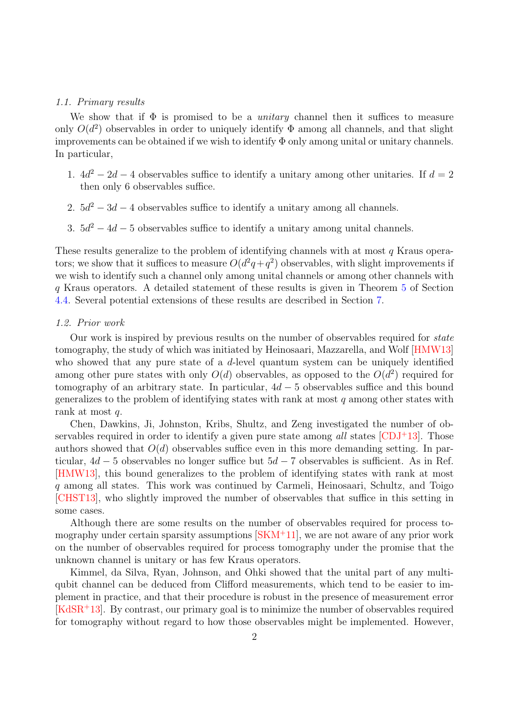#### <span id="page-1-0"></span>1.1. Primary results

We show that if  $\Phi$  is promised to be a *unitary* channel then it suffices to measure only  $O(d^2)$  observables in order to uniquely identify  $\Phi$  among all channels, and that slight improvements can be obtained if we wish to identify  $\Phi$  only among unital or unitary channels. In particular,

- 1.  $4d^2 2d 4$  observables suffice to identify a unitary among other unitaries. If  $d = 2$ then only 6 observables suffice.
- 2.  $5d^2 3d 4$  observables suffice to identify a unitary among all channels.
- 3.  $5d^2 4d 5$  observables suffice to identify a unitary among unital channels.

These results generalize to the problem of identifying channels with at most q Kraus operators; we show that it suffices to measure  $O(d^2q+q^2)$  observables, with slight improvements if we wish to identify such a channel only among unital channels or among other channels with q Kraus operators. A detailed statement of these results is given in Theorem [5](#page-9-0) of Section [4.4.](#page-9-1) Several potential extensions of these results are described in Section [7.](#page-19-0)

## 1.2. Prior work

Our work is inspired by previous results on the number of observables required for *state* tomography, the study of which was initiated by Heinosaari, Mazzarella, and Wolf [\[HMW13\]](#page-23-0) who showed that any pure state of a d-level quantum system can be uniquely identified among other pure states with only  $O(d)$  observables, as opposed to the  $O(d^2)$  required for tomography of an arbitrary state. In particular,  $4d - 5$  observables suffice and this bound generalizes to the problem of identifying states with rank at most q among other states with rank at most q.

Chen, Dawkins, Ji, Johnston, Kribs, Shultz, and Zeng investigated the number of observables required in order to identify a given pure state among all states  $[CDJ+13]$  $[CDJ+13]$ . Those authors showed that  $O(d)$  observables suffice even in this more demanding setting. In particular,  $4d - 5$  observables no longer suffice but  $5d - 7$  observables is sufficient. As in Ref. [\[HMW13\]](#page-23-0), this bound generalizes to the problem of identifying states with rank at most q among all states. This work was continued by Carmeli, Heinosaari, Schultz, and Toigo [\[CHST13\]](#page-23-2), who slightly improved the number of observables that suffice in this setting in some cases.

Although there are some results on the number of observables required for process tomography under certain sparsity assumptions  $[SKM+11]$  $[SKM+11]$ , we are not aware of any prior work on the number of observables required for process tomography under the promise that the unknown channel is unitary or has few Kraus operators.

Kimmel, da Silva, Ryan, Johnson, and Ohki showed that the unital part of any multiqubit channel can be deduced from Clifford measurements, which tend to be easier to implement in practice, and that their procedure is robust in the presence of measurement error [\[KdSR](#page-23-4)<sup>+</sup>13]. By contrast, our primary goal is to minimize the number of observables required for tomography without regard to how those observables might be implemented. However,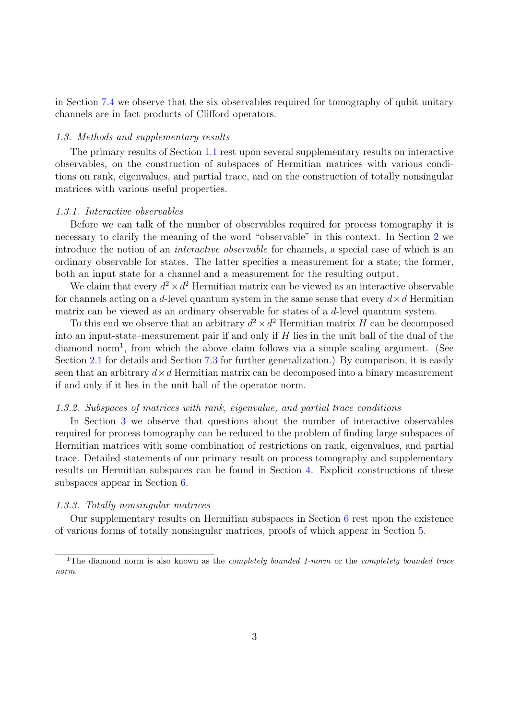in Section [7.4](#page-22-0) we observe that the six observables required for tomography of qubit unitary channels are in fact products of Clifford operators.

# 1.3. Methods and supplementary results

The primary results of Section [1.1](#page-1-0) rest upon several supplementary results on interactive observables, on the construction of subspaces of Hermitian matrices with various conditions on rank, eigenvalues, and partial trace, and on the construction of totally nonsingular matrices with various useful properties.

#### 1.3.1. Interactive observables

Before we can talk of the number of observables required for process tomography it is necessary to clarify the meaning of the word "observable" in this context. In Section [2](#page-4-0) we introduce the notion of an interactive observable for channels, a special case of which is an ordinary observable for states. The latter specifies a measurement for a state; the former, both an input state for a channel and a measurement for the resulting output.

We claim that every  $d^2 \times d^2$  Hermitian matrix can be viewed as an interactive observable for channels acting on a d-level quantum system in the same sense that every  $d \times d$  Hermitian matrix can be viewed as an ordinary observable for states of a d-level quantum system.

To this end we observe that an arbitrary  $d^2 \times d^2$  Hermitian matrix H can be decomposed into an input-state–measurement pair if and only if  $H$  lies in the unit ball of the dual of the diamond norm<sup>[1](#page-2-0)</sup>, from which the above claim follows via a simple scaling argument. (See Section [2.1](#page-4-1) for details and Section [7.3](#page-20-0) for further generalization.) By comparison, it is easily seen that an arbitrary  $d \times d$  Hermitian matrix can be decomposed into a binary measurement if and only if it lies in the unit ball of the operator norm.

# 1.3.2. Subspaces of matrices with rank, eigenvalue, and partial trace conditions

In Section [3](#page-6-0) we observe that questions about the number of interactive observables required for process tomography can be reduced to the problem of finding large subspaces of Hermitian matrices with some combination of restrictions on rank, eigenvalues, and partial trace. Detailed statements of our primary result on process tomography and supplementary results on Hermitian subspaces can be found in Section [4.](#page-7-0) Explicit constructions of these subspaces appear in Section [6.](#page-13-0)

#### 1.3.3. Totally nonsingular matrices

Our supplementary results on Hermitian subspaces in Section [6](#page-13-0) rest upon the existence of various forms of totally nonsingular matrices, proofs of which appear in Section [5.](#page-10-0)

<span id="page-2-0"></span><sup>&</sup>lt;sup>1</sup>The diamond norm is also known as the *completely bounded 1-norm* or the *completely bounded trace* norm.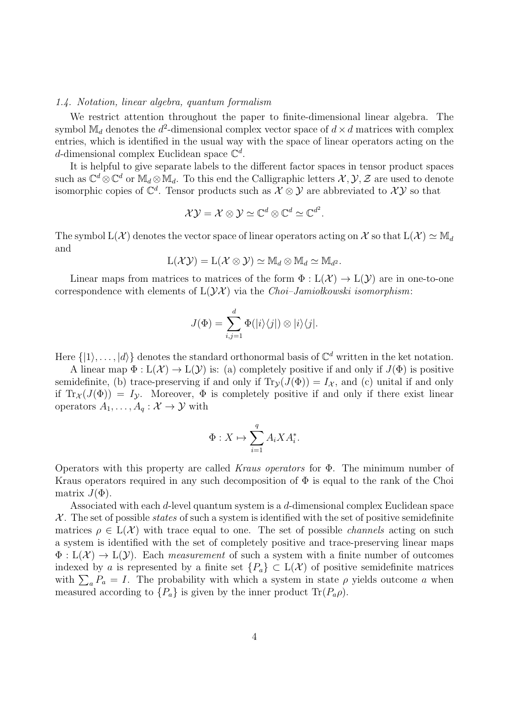#### 1.4. Notation, linear algebra, quantum formalism

We restrict attention throughout the paper to finite-dimensional linear algebra. The symbol  $\mathbb{M}_d$  denotes the  $d^2$ -dimensional complex vector space of  $d \times d$  matrices with complex entries, which is identified in the usual way with the space of linear operators acting on the d-dimensional complex Euclidean space  $\mathbb{C}^d$ .

It is helpful to give separate labels to the different factor spaces in tensor product spaces such as  $\mathbb{C}^d\otimes\mathbb{C}^d$  or  $\mathbb{M}_d\otimes\mathbb{M}_d$ . To this end the Calligraphic letters  $\mathcal{X},\mathcal{Y},\mathcal{Z}$  are used to denote isomorphic copies of  $\mathbb{C}^d$ . Tensor products such as  $\mathcal{X} \otimes \mathcal{Y}$  are abbreviated to  $\mathcal{XY}$  so that

$$
\mathcal{X}\mathcal{Y}=\mathcal{X}\otimes\mathcal{Y}\simeq\mathbb{C}^d\otimes\mathbb{C}^d\simeq\mathbb{C}^{d^2}.
$$

The symbol  $L(\mathcal{X})$  denotes the vector space of linear operators acting on X so that  $L(\mathcal{X}) \simeq M_d$ and

$$
L(\mathcal{XY}) = L(\mathcal{X} \otimes \mathcal{Y}) \simeq M_d \otimes M_d \simeq M_{d^2}.
$$

Linear maps from matrices to matrices of the form  $\Phi: L(\mathcal{X}) \to L(\mathcal{Y})$  are in one-to-one correspondence with elements of  $L(Y\mathcal{X})$  via the *Choi–Jamiolkowski isomorphism*:

$$
J(\Phi) = \sum_{i,j=1}^d \Phi(|i\rangle\langle j|) \otimes |i\rangle\langle j|.
$$

Here  $\{|1\rangle, \ldots, |d\rangle\}$  denotes the standard orthonormal basis of  $\mathbb{C}^d$  written in the ket notation.

A linear map  $\Phi: L(\mathcal{X}) \to L(\mathcal{Y})$  is: (a) completely positive if and only if  $J(\Phi)$  is positive semidefinite, (b) trace-preserving if and only if  $\text{Tr}_{\mathcal{Y}}(J(\Phi)) = I_{\mathcal{X}}$ , and (c) unital if and only if  $Tr_{\mathcal{X}}(J(\Phi)) = I_{\mathcal{Y}}$ . Moreover,  $\Phi$  is completely positive if and only if there exist linear operators  $A_1, \ldots, A_q : \mathcal{X} \to \mathcal{Y}$  with

$$
\Phi: X \mapsto \sum_{i=1}^q A_i X A_i^*.
$$

Operators with this property are called Kraus operators for  $\Phi$ . The minimum number of Kraus operators required in any such decomposition of  $\Phi$  is equal to the rank of the Choi matrix  $J(\Phi)$ .

Associated with each d-level quantum system is a d-dimensional complex Euclidean space  $X$ . The set of possible *states* of such a system is identified with the set of positive semidefinite matrices  $\rho \in L(\mathcal{X})$  with trace equal to one. The set of possible *channels* acting on such a system is identified with the set of completely positive and trace-preserving linear maps  $\Phi: L(\mathcal{X}) \to L(\mathcal{Y})$ . Each measurement of such a system with a finite number of outcomes indexed by a is represented by a finite set  $\{P_a\} \subset L(\mathcal{X})$  of positive semidefinite matrices with  $\sum_a P_a = I$ . The probability with which a system in state  $\rho$  yields outcome a when measured according to  $\{P_a\}$  is given by the inner product  $\text{Tr}(P_a \rho)$ .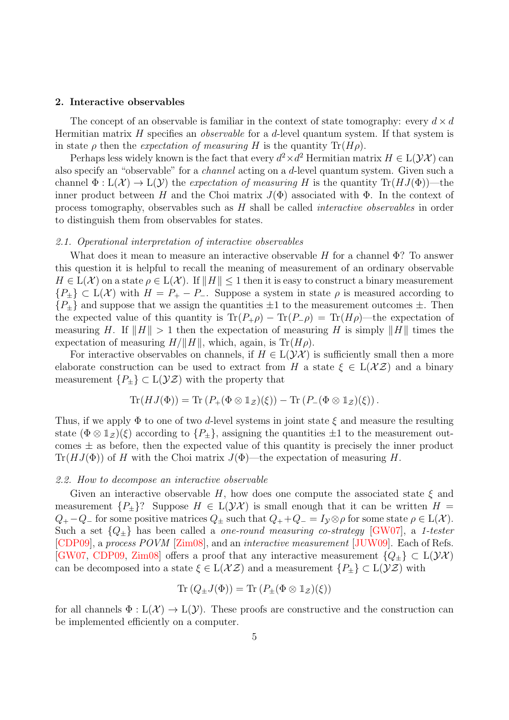# <span id="page-4-0"></span>2. Interactive observables

The concept of an observable is familiar in the context of state tomography: every  $d \times d$ Hermitian matrix  $H$  specifies an *observable* for a  $d$ -level quantum system. If that system is in state  $\rho$  then the expectation of measuring H is the quantity  $\text{Tr}(H\rho)$ .

Perhaps less widely known is the fact that every  $d^2 \times d^2$  Hermitian matrix  $H \in L(\mathcal{YX})$  can also specify an "observable" for a channel acting on a d-level quantum system. Given such a channel  $\Phi: L(\mathcal{X}) \to L(\mathcal{Y})$  the expectation of measuring H is the quantity  $\text{Tr}(HJ(\Phi))$ —the inner product between H and the Choi matrix  $J(\Phi)$  associated with  $\Phi$ . In the context of process tomography, observables such as H shall be called interactive observables in order to distinguish them from observables for states.

#### <span id="page-4-1"></span>2.1. Operational interpretation of interactive observables

What does it mean to measure an interactive observable H for a channel  $\Phi$ ? To answer this question it is helpful to recall the meaning of measurement of an ordinary observable  $H \in L(\mathcal{X})$  on a state  $\rho \in L(\mathcal{X})$ . If  $\|H\| \leq 1$  then it is easy to construct a binary measurement  ${P_{\pm}} \subset L(X)$  with  $H = P_{+} - P_{-}$ . Suppose a system in state  $\rho$  is measured according to  ${P_{\pm}}$  and suppose that we assign the quantities  $\pm 1$  to the measurement outcomes  $\pm$ . Then the expected value of this quantity is  $\text{Tr}(P_+\rho) - \text{Tr}(P_-\rho) = \text{Tr}(H\rho)$ —the expectation of measuring H. If  $||H|| > 1$  then the expectation of measuring H is simply  $||H||$  times the expectation of measuring  $H/\Vert H \Vert$ , which, again, is Tr( $H\rho$ ).

For interactive observables on channels, if  $H \in L(\mathcal{YX})$  is sufficiently small then a more elaborate construction can be used to extract from H a state  $\xi \in L(\mathcal{X} \mathcal{Z})$  and a binary measurement  $\{P_+\}\subset L(\mathcal{YZ})$  with the property that

$$
\mathrm{Tr}(HJ(\Phi)) = \mathrm{Tr}(P_+(\Phi \otimes \mathbb{1}_{\mathcal{Z}})(\xi)) - \mathrm{Tr}(P_-(\Phi \otimes \mathbb{1}_{\mathcal{Z}})(\xi)).
$$

Thus, if we apply  $\Phi$  to one of two d-level systems in joint state  $\xi$  and measure the resulting state  $(\Phi \otimes \mathbb{1}_{\mathcal{Z}})(\xi)$  according to  $\{P_{\pm}\}\$ , assigning the quantities  $\pm 1$  to the measurement outcomes  $\pm$  as before, then the expected value of this quantity is precisely the inner product  $\text{Tr}(HJ(\Phi))$  of H with the Choi matrix  $J(\Phi)$ —the expectation of measuring H.

#### <span id="page-4-2"></span>2.2. How to decompose an interactive observable

Given an interactive observable H, how does one compute the associated state  $\xi$  and measurement  ${P_{\pm}}$ ? Suppose  $H \in L(\mathcal{YX})$  is small enough that it can be written  $H =$  $Q_+ - Q_-$  for some positive matrices  $Q_{\pm}$  such that  $Q_+ + Q_- = I_{\mathcal{Y}} \otimes \rho$  for some state  $\rho \in L(\mathcal{X})$ . Such a set  ${Q_{\pm}}$  has been called a *one-round measuring co-strategy* [\[GW07\]](#page-23-5), a 1-tester [\[CDP09\]](#page-23-6), a process POVM [\[Zim08\]](#page-23-7), and an interactive measurement [\[JUW09\]](#page-23-8). Each of Refs. [\[GW07,](#page-23-5) [CDP09,](#page-23-6) [Zim08\]](#page-23-7) offers a proof that any interactive measurement  ${Q_{\pm}} \subset L(\mathcal{YX})$ can be decomposed into a state  $\xi \in L(\mathcal{X} \mathcal{Z})$  and a measurement  $\{P_{\pm}\}\subset L(\mathcal{Y} \mathcal{Z})$  with

$$
\mathrm{Tr}(Q_{\pm}J(\Phi)) = \mathrm{Tr}(P_{\pm}(\Phi \otimes \mathbb{1}_{\mathcal{Z}})(\xi))
$$

for all channels  $\Phi : L(\mathcal{X}) \to L(\mathcal{Y})$ . These proofs are constructive and the construction can be implemented efficiently on a computer.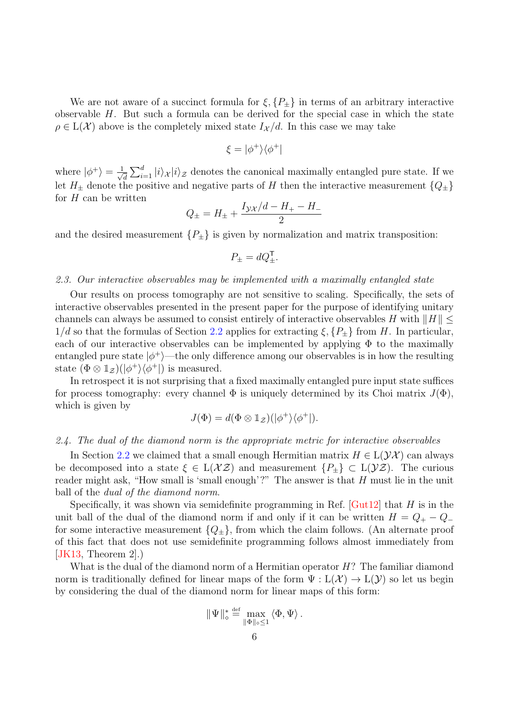We are not aware of a succinct formula for  $\xi$ ,  $\{P_{\pm}\}\$ in terms of an arbitrary interactive observable H. But such a formula can be derived for the special case in which the state  $\rho \in L(\mathcal{X})$  above is the completely mixed state  $I_{\mathcal{X}}/d$ . In this case we may take

$$
\xi=|\phi^+\rangle\langle\phi^+|
$$

where  $|\phi^+\rangle = \frac{1}{\sqrt{2}}$  $\frac{1}{d} \sum_{i=1}^d |i\rangle_{\mathcal{X}} |i\rangle_{\mathcal{Z}}$  denotes the canonical maximally entangled pure state. If we let  $H_+$  denote the positive and negative parts of H then the interactive measurement  ${Q_+}$ for  $H$  can be written

$$
Q_{\pm} = H_{\pm} + \frac{I_{\mathcal{YX}}/d - H_{+} - H_{-}}{2}
$$

and the desired measurement  $\{P_{\pm}\}\$ is given by normalization and matrix transposition:

$$
P_{\pm} = dQ_{\pm}^{\mathsf{T}}.
$$

# 2.3. Our interactive observables may be implemented with a maximally entangled state

Our results on process tomography are not sensitive to scaling. Specifically, the sets of interactive observables presented in the present paper for the purpose of identifying unitary channels can always be assumed to consist entirely of interactive observables H with  $||H|| \le$  $1/d$  so that the formulas of Section [2.2](#page-4-2) applies for extracting  $\xi$ ,  $\{P_{\pm}\}\$ from H. In particular, each of our interactive observables can be implemented by applying  $\Phi$  to the maximally entangled pure state  $|\phi^+\rangle$ —the only difference among our observables is in how the resulting state  $(\Phi \otimes \mathbb{1}_{\mathcal{Z}})(|\phi^+\rangle\langle\phi^+|)$  is measured.

In retrospect it is not surprising that a fixed maximally entangled pure input state suffices for process tomography: every channel  $\Phi$  is uniquely determined by its Choi matrix  $J(\Phi)$ , which is given by

$$
J(\Phi) = d(\Phi \otimes \mathbb{1}_{\mathcal{Z}})(|\phi^{+}\rangle\langle\phi^{+}|).
$$

#### 2.4. The dual of the diamond norm is the appropriate metric for interactive observables

In Section [2.2](#page-4-2) we claimed that a small enough Hermitian matrix  $H \in L(\mathcal{YX})$  can always be decomposed into a state  $\xi \in L(\mathcal{X} \mathcal{Z})$  and measurement  $\{P_{\pm}\}\subset L(\mathcal{Y} \mathcal{Z})$ . The curious reader might ask, "How small is 'small enough'?" The answer is that H must lie in the unit ball of the dual of the diamond norm.

Specifically, it was shown via semidefinite programming in Ref.  $\lbrack \text{Gut12} \rbrack$  that H is in the unit ball of the dual of the diamond norm if and only if it can be written  $H = Q_+ - Q_$ for some interactive measurement  ${Q_{\pm}}$ , from which the claim follows. (An alternate proof of this fact that does not use semidefinite programming follows almost immediately from  $|JK13,$  Theorem 2.

What is the dual of the diamond norm of a Hermitian operator  $H$ ? The familiar diamond norm is traditionally defined for linear maps of the form  $\Psi : L(\mathcal{X}) \to L(\mathcal{Y})$  so let us begin by considering the dual of the diamond norm for linear maps of this form:

$$
\|\Psi\|_{\diamond}^* \stackrel{\text{def}}{=} \max_{\|\Phi\|_{\diamond} \leq 1} \langle \Phi, \Psi \rangle.
$$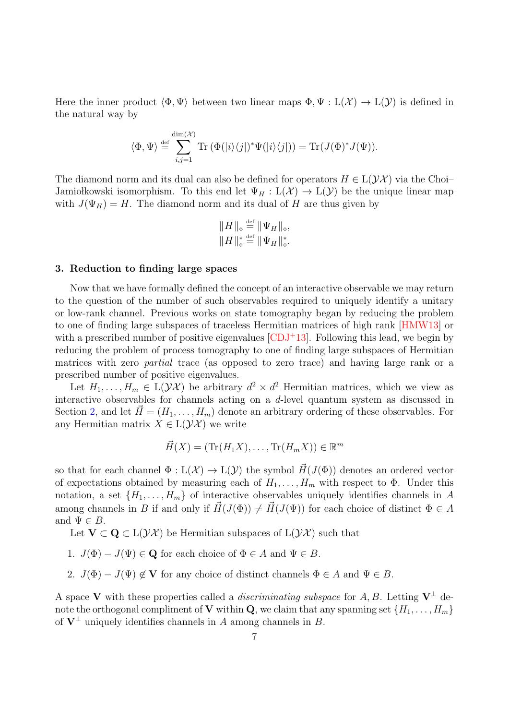Here the inner product  $\langle \Phi, \Psi \rangle$  between two linear maps  $\Phi, \Psi : L(\mathcal{X}) \to L(\mathcal{Y})$  is defined in the natural way by

$$
\langle \Phi, \Psi \rangle \stackrel{\text{def}}{=} \sum_{i,j=1}^{\dim(\mathcal{X})} \text{Tr} \left( \Phi(|i\rangle\langle j|)^* \Psi(|i\rangle\langle j|) \right) = \text{Tr}(J(\Phi)^* J(\Psi)).
$$

The diamond norm and its dual can also be defined for operators  $H \in L(\mathcal{YX})$  via the Choi– Jamio kowski isomorphism. To this end let  $\Psi_H : L(\mathcal{X}) \to L(\mathcal{Y})$  be the unique linear map with  $J(\Psi_H) = H$ . The diamond norm and its dual of H are thus given by

$$
||H||_{\diamond} \stackrel{\text{def}}{=} ||\Psi_H||_{\diamond},
$$
  

$$
||H||_{\diamond}^* \stackrel{\text{def}}{=} ||\Psi_H||_{\diamond}^*.
$$

# <span id="page-6-0"></span>3. Reduction to finding large spaces

Now that we have formally defined the concept of an interactive observable we may return to the question of the number of such observables required to uniquely identify a unitary or low-rank channel. Previous works on state tomography began by reducing the problem to one of finding large subspaces of traceless Hermitian matrices of high rank [\[HMW13\]](#page-23-0) or with a prescribed number of positive eigenvalues  $\text{[CDJ+13]}$  $\text{[CDJ+13]}$  $\text{[CDJ+13]}$ . Following this lead, we begin by reducing the problem of process tomography to one of finding large subspaces of Hermitian matrices with zero partial trace (as opposed to zero trace) and having large rank or a prescribed number of positive eigenvalues.

Let  $H_1, \ldots, H_m \in L(\mathcal{YX})$  be arbitrary  $d^2 \times d^2$  Hermitian matrices, which we view as interactive observables for channels acting on a d-level quantum system as discussed in Section [2,](#page-4-0) and let  $\vec{H} = (H_1, \ldots, H_m)$  denote an arbitrary ordering of these observables. For any Hermitian matrix  $X \in L(\mathcal{YX})$  we write

$$
\vec{H}(X) = (\text{Tr}(H_1X), \dots, \text{Tr}(H_mX)) \in \mathbb{R}^m
$$

so that for each channel  $\Phi : L(\mathcal{X}) \to L(\mathcal{Y})$  the symbol  $\vec{H}(J(\Phi))$  denotes an ordered vector of expectations obtained by measuring each of  $H_1, \ldots, H_m$  with respect to  $\Phi$ . Under this notation, a set  $\{H_1, \ldots, H_m\}$  of interactive observables uniquely identifies channels in A among channels in B if and only if  $\vec{H}(J(\Phi)) \neq \vec{H}(J(\Psi))$  for each choice of distinct  $\Phi \in A$ and  $\Psi \in B$ .

Let  $V \subset Q \subset L(\mathcal{YX})$  be Hermitian subspaces of  $L(\mathcal{YX})$  such that

- 1.  $J(\Phi) J(\Psi) \in \mathbf{Q}$  for each choice of  $\Phi \in A$  and  $\Psi \in B$ .
- 2.  $J(\Phi) J(\Psi) \notin V$  for any choice of distinct channels  $\Phi \in A$  and  $\Psi \in B$ .

A space V with these properties called a *discriminating subspace* for A, B. Letting  $V^{\perp}$  denote the orthogonal compliment of **V** within **Q**, we claim that any spanning set  $\{H_1, \ldots, H_m\}$ of  $V^{\perp}$  uniquely identifies channels in A among channels in B.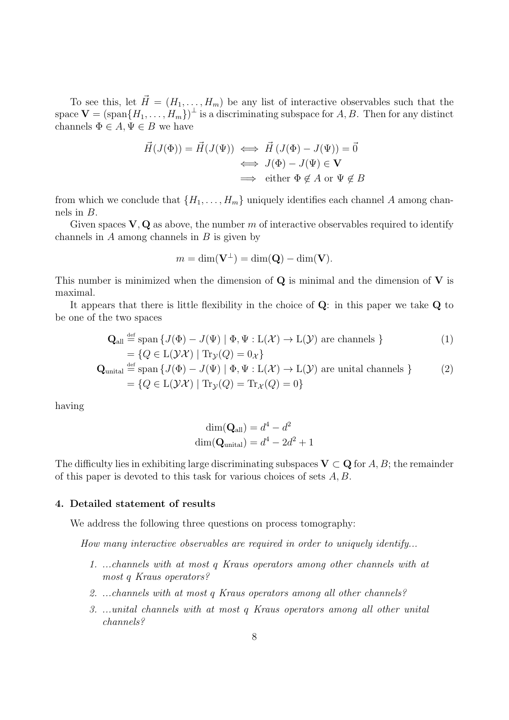To see this, let  $\vec{H} = (H_1, \ldots, H_m)$  be any list of interactive observables such that the space  $\mathbf{V} = (\text{span}\{H_1, \ldots, H_m\})^{\perp}$  is a discriminating subspace for  $A, B$ . Then for any distinct channels  $\Phi \in A, \Psi \in B$  we have

$$
\vec{H}(J(\Phi)) = \vec{H}(J(\Psi)) \iff \vec{H}(J(\Phi) - J(\Psi)) = \vec{0}
$$
  
\n
$$
\iff J(\Phi) - J(\Psi) \in \mathbf{V}
$$
  
\n
$$
\implies \text{ either } \Phi \notin A \text{ or } \Psi \notin B
$$

from which we conclude that  $\{H_1, \ldots, H_m\}$  uniquely identifies each channel A among channels in B.

Given spaces  $V, Q$  as above, the number m of interactive observables required to identify channels in  $A$  among channels in  $B$  is given by

$$
m = \dim(\mathbf{V}^{\perp}) = \dim(\mathbf{Q}) - \dim(\mathbf{V}).
$$

This number is minimized when the dimension of  $Q$  is minimal and the dimension of  $V$  is maximal.

It appears that there is little flexibility in the choice of Q: in this paper we take Q to be one of the two spaces

$$
\mathbf{Q}_{\text{all}} \stackrel{\text{def}}{=} \text{span}\left\{ J(\Phi) - J(\Psi) \mid \Phi, \Psi : \mathcal{L}(\mathcal{X}) \to \mathcal{L}(\mathcal{Y}) \text{ are channels } \right\} = \left\{ Q \in \mathcal{L}(\mathcal{Y}\mathcal{X}) \mid \text{Tr}_{\mathcal{Y}}(Q) = 0_{\mathcal{X}} \right\}
$$
(1)

$$
\mathbf{Q}_{\text{unital}} \stackrel{\text{def}}{=} \text{span} \{ J(\Phi) - J(\Psi) \mid \Phi, \Psi : \mathcal{L}(\mathcal{X}) \to \mathcal{L}(\mathcal{Y}) \text{ are unital channels } \} \tag{2}
$$
\n
$$
= \{ Q \in \mathcal{L}(\mathcal{Y}\mathcal{X}) \mid \text{Tr}_{\mathcal{Y}}(Q) = \text{Tr}_{\mathcal{X}}(Q) = 0 \}
$$

having

<span id="page-7-3"></span><span id="page-7-2"></span>
$$
\dim(\mathbf{Q}_{\text{all}}) = d^4 - d^2
$$

$$
\dim(\mathbf{Q}_{\text{unital}}) = d^4 - 2d^2 + 1
$$

The difficulty lies in exhibiting large discriminating subspaces  $V \subset Q$  for A, B; the remainder of this paper is devoted to this task for various choices of sets A, B.

# <span id="page-7-0"></span>4. Detailed statement of results

We address the following three questions on process tomography:

<span id="page-7-1"></span>How many interactive observables are required in order to uniquely identify...

- 1. ...channels with at most q Kraus operators among other channels with at most q Kraus operators?
- <span id="page-7-4"></span>2. ...channels with at most q Kraus operators among all other channels?
- <span id="page-7-5"></span>3. ...unital channels with at most q Kraus operators among all other unital channels?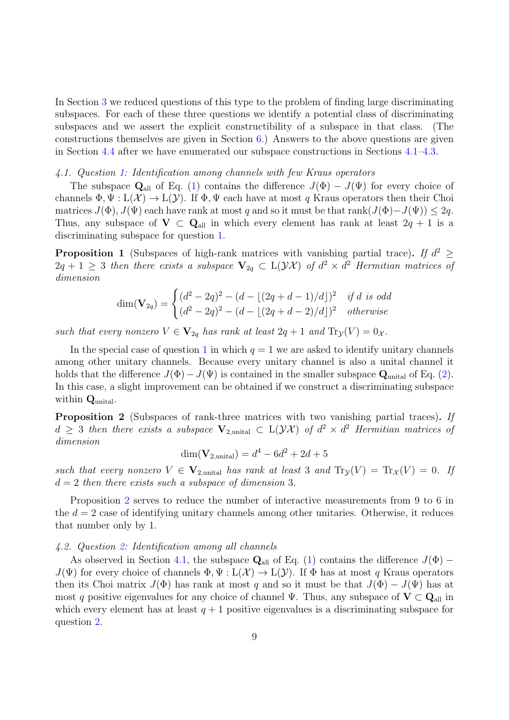In Section [3](#page-6-0) we reduced questions of this type to the problem of finding large discriminating subspaces. For each of these three questions we identify a potential class of discriminating subspaces and we assert the explicit constructibility of a subspace in that class. (The constructions themselves are given in Section [6.](#page-13-0)) Answers to the above questions are given in Section [4.4](#page-9-1) after we have enumerated our subspace constructions in Sections [4.1–](#page-8-0)[4.3.](#page-9-2)

# <span id="page-8-0"></span>4.1. Question [1:](#page-7-1) Identification among channels with few Kraus operators

The subspace  $\mathbf{Q}_{all}$  of Eq. [\(1\)](#page-7-2) contains the difference  $J(\Phi) - J(\Psi)$  for every choice of channels  $\Phi, \Psi : L(\mathcal{X}) \to L(\mathcal{Y})$ . If  $\Phi, \Psi$  each have at most q Kraus operators then their Choi matrices  $J(\Phi)$ ,  $J(\Psi)$  each have rank at most q and so it must be that rank $(J(\Phi) - J(\Psi)) \leq 2q$ . Thus, any subspace of  $V \subset Q_{all}$  in which every element has rank at least  $2q + 1$  is a discriminating subspace for question [1.](#page-7-1)

<span id="page-8-2"></span>**Proposition 1** (Subspaces of high-rank matrices with vanishing partial trace). If  $d^2 \geq$  $2q + 1 \geq 3$  then there exists a subspace  $\mathbf{V}_{2q} \subset L(\mathcal{YX})$  of  $d^2 \times d^2$  Hermitian matrices of dimension

$$
\dim(\mathbf{V}_{2q}) = \begin{cases} (d^2 - 2q)^2 - (d - \lfloor (2q + d - 1)/d \rfloor)^2 & \text{if } d \text{ is odd} \\ (d^2 - 2q)^2 - (d - \lfloor (2q + d - 2)/d \rfloor)^2 & \text{otherwise} \end{cases}
$$

such that every nonzero  $V \in V_{2q}$  has rank at least  $2q + 1$  and  $Tr_V(V) = 0_{\mathcal{X}}$ .

In the special case of question [1](#page-7-1) in which  $q = 1$  we are asked to identify unitary channels among other unitary channels. Because every unitary channel is also a unital channel it holds that the difference  $J(\Phi) - J(\Psi)$  is contained in the smaller subspace  $\mathbf{Q}_{\text{unital}}$  of Eq. [\(2\)](#page-7-3). In this case, a slight improvement can be obtained if we construct a discriminating subspace within  $\mathbf{Q}_{\text{unital}}$ .

<span id="page-8-1"></span>Proposition 2 (Subspaces of rank-three matrices with two vanishing partial traces). If  $d \geq 3$  then there exists a subspace  $V_{2,\text{unital}} \subset L(\mathcal{YX})$  of  $d^2 \times d^2$  Hermitian matrices of dimension

$$
\dim(\mathbf{V}_{2,\text{unital}}) = d^4 - 6d^2 + 2d + 5
$$

such that every nonzero  $V \in V_{2,\text{unital}}$  has rank at least 3 and  $\text{Tr}_\mathcal{Y}(V) = \text{Tr}_\mathcal{X}(V) = 0$ . If  $d = 2$  then there exists such a subspace of dimension 3.

Proposition [2](#page-8-1) serves to reduce the number of interactive measurements from 9 to 6 in the  $d = 2$  case of identifying unitary channels among other unitaries. Otherwise, it reduces that number only by 1.

# 4.2. Question [2:](#page-7-4) Identification among all channels

As observed in Section [4.1,](#page-8-0) the subspace  $\mathbf{Q}_{all}$  of Eq. [\(1\)](#page-7-2) contains the difference  $J(\Phi)$  –  $J(\Psi)$  for every choice of channels  $\Phi, \Psi : L(\mathcal{X}) \to L(\mathcal{Y})$ . If  $\Phi$  has at most q Kraus operators then its Choi matrix  $J(\Phi)$  has rank at most q and so it must be that  $J(\Phi) - J(\Psi)$  has at most q positive eigenvalues for any choice of channel Ψ. Thus, any subspace of  $V \subset Q_{all}$  in which every element has at least  $q + 1$  positive eigenvalues is a discriminating subspace for question [2.](#page-7-4)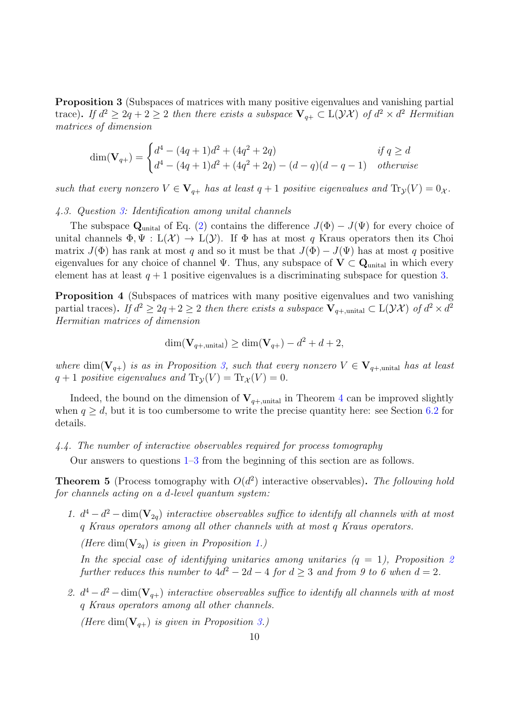<span id="page-9-3"></span>Proposition 3 (Subspaces of matrices with many positive eigenvalues and vanishing partial trace). If  $d^2 \geq 2q + 2 \geq 2$  then there exists a subspace  $\mathbf{V}_{q+} \subset L(\mathcal{YX})$  of  $d^2 \times d^2$  Hermitian matrices of dimension

$$
\dim(\mathbf{V}_{q+}) = \begin{cases} d^4 - (4q+1)d^2 + (4q^2+2q) & \text{if } q \ge d \\ d^4 - (4q+1)d^2 + (4q^2+2q) - (d-q)(d-q-1) & \text{otherwise} \end{cases}
$$

such that every nonzero  $V \in V_{q+}$  has at least  $q+1$  positive eigenvalues and  $\text{Tr}_{\mathcal{Y}}(V) = 0_{\mathcal{X}}$ .

#### <span id="page-9-2"></span>4.3. Question [3:](#page-7-5) Identification among unital channels

The subspace  $\mathbf{Q}_{\text{unital}}$  of Eq. [\(2\)](#page-7-3) contains the difference  $J(\Phi) - J(\Psi)$  for every choice of unital channels  $\Phi, \Psi : L(\mathcal{X}) \to L(\mathcal{Y})$ . If  $\Phi$  has at most q Kraus operators then its Choi matrix  $J(\Phi)$  has rank at most q and so it must be that  $J(\Phi) - J(\Psi)$  has at most q positive eigenvalues for any choice of channel  $\Psi$ . Thus, any subspace of  $V \subset Q_{\text{unital}}$  in which every element has at least  $q + 1$  positive eigenvalues is a discriminating subspace for question [3.](#page-7-5)

<span id="page-9-4"></span>Proposition 4 (Subspaces of matrices with many positive eigenvalues and two vanishing partial traces). If  $d^2 \geq 2q + 2 \geq 2$  then there exists a subspace  $\mathbf{V}_{q+\text{,unital}} \subset \mathcal{L}(\mathcal{YX})$  of  $d^2 \times d^2$ Hermitian matrices of dimension

$$
\dim(\mathbf{V}_{q+,\text{unital}}) \ge \dim(\mathbf{V}_{q+}) - d^2 + d + 2,
$$

where dim( $V_{q+}$ ) is as in Proposition [3,](#page-9-3) such that every nonzero  $V \in V_{q+,\text{unital}}$  has at least  $q + 1$  positive eigenvalues and  $\text{Tr}_{\mathcal{Y}}(V) = \text{Tr}_{\mathcal{X}}(V) = 0.$ 

Indeed, the bound on the dimension of  $V_{q+\text{,unital}}$  in Theorem [4](#page-9-4) can be improved slightly when  $q > d$ , but it is too cumbersome to write the precise quantity here: see Section [6.2](#page-16-0) for details.

<span id="page-9-1"></span>4.4. The number of interactive observables required for process tomography

Our answers to questions [1–](#page-7-1)[3](#page-7-5) from the beginning of this section are as follows.

<span id="page-9-0"></span>**Theorem 5** (Process tomography with  $O(d^2)$  interactive observables). The following hold for channels acting on a d-level quantum system:

<span id="page-9-5"></span>1.  $d^4 - d^2 - \text{dim}(\mathbf{V}_{2q})$  interactive observables suffice to identify all channels with at most q Kraus operators among all other channels with at most q Kraus operators.

(Here dim $(\mathbf{V}_{2q})$  is given in Proposition [1.](#page-8-2))

In the special case of identifying unitaries among unitaries  $(q = 1)$ , Proposition [2](#page-8-1) further reduces this number to  $4d^2 - 2d - 4$  for  $d \geq 3$  and from 9 to 6 when  $d = 2$ .

2.  $d^4 - d^2 - \dim(\mathbf{V}_{q+})$  interactive observables suffice to identify all channels with at most q Kraus operators among all other channels.

(Here dim $(\mathbf{V}_{q+})$  is given in Proposition [3.](#page-9-3))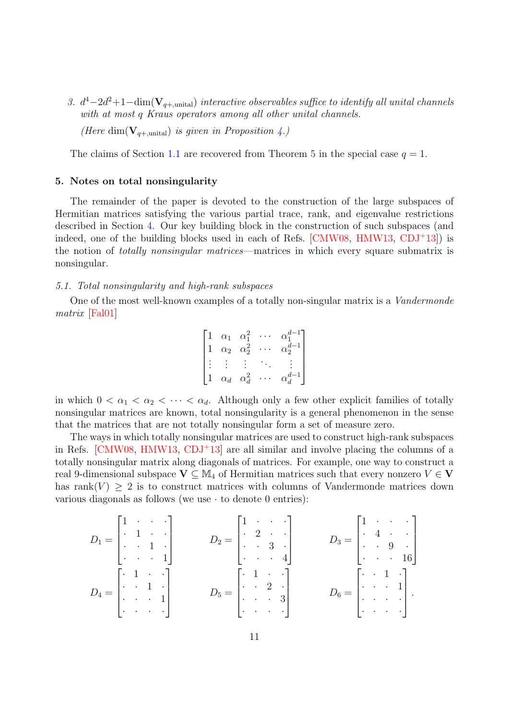3.  $d^4-2d^2+1-\dim(\mathbf{V}_{q+,\text{unital}})$  interactive observables suffice to identify all unital channels with at most q Kraus operators among all other unital channels.

(Here dim( $\mathbf{V}_{q+\text{,unital}}$ ) is given in Proposition [4.](#page-9-4))

The claims of Section [1.1](#page-1-0) are recovered from Theorem [5](#page-9-0) in the special case  $q = 1$ .

# <span id="page-10-0"></span>5. Notes on total nonsingularity

The remainder of the paper is devoted to the construction of the large subspaces of Hermitian matrices satisfying the various partial trace, rank, and eigenvalue restrictions described in Section [4.](#page-7-0) Our key building block in the construction of such subspaces (and indeed, one of the building blocks used in each of Refs.  $[CMW08, HMW13, CDJ<sup>+</sup>13]$  $[CMW08, HMW13, CDJ<sup>+</sup>13]$  $[CMW08, HMW13, CDJ<sup>+</sup>13]$  $[CMW08, HMW13, CDJ<sup>+</sup>13]$  $[CMW08, HMW13, CDJ<sup>+</sup>13]$  $[CMW08, HMW13, CDJ<sup>+</sup>13]$  is the notion of totally nonsingular matrices—matrices in which every square submatrix is nonsingular.

# <span id="page-10-1"></span>5.1. Total nonsingularity and high-rank subspaces

One of the most well-known examples of a totally non-singular matrix is a Vandermonde matrix [\[Fal01\]](#page-23-12)

$$
\begin{bmatrix}\n1 & \alpha_1 & \alpha_1^2 & \cdots & \alpha_1^{d-1} \\
1 & \alpha_2 & \alpha_2^2 & \cdots & \alpha_2^{d-1} \\
\vdots & \vdots & \vdots & \ddots & \vdots \\
1 & \alpha_d & \alpha_d^2 & \cdots & \alpha_d^{d-1}\n\end{bmatrix}
$$

in which  $0 < \alpha_1 < \alpha_2 < \cdots < \alpha_d$ . Although only a few other explicit families of totally nonsingular matrices are known, total nonsingularity is a general phenomenon in the sense that the matrices that are not totally nonsingular form a set of measure zero.

The ways in which totally nonsingular matrices are used to construct high-rank subspaces in Refs. [\[CMW08,](#page-23-11) [HMW13,](#page-23-0) [CDJ](#page-23-1)+13] are all similar and involve placing the columns of a totally nonsingular matrix along diagonals of matrices. For example, one way to construct a real 9-dimensional subspace  $V \subseteq M_4$  of Hermitian matrices such that every nonzero  $V \in V$ has rank $(V) > 2$  is to construct matrices with columns of Vandermonde matrices down various diagonals as follows (we use  $\cdot$  to denote 0 entries):

$$
D_1 = \begin{bmatrix} 1 & \cdot & \cdot & \cdot \\ \cdot & 1 & \cdot & \cdot \\ \cdot & \cdot & 1 & \cdot \\ \cdot & \cdot & \cdot & 1 \end{bmatrix} \qquad D_2 = \begin{bmatrix} 1 & \cdot & \cdot & \cdot \\ \cdot & 2 & \cdot & \cdot \\ \cdot & \cdot & 3 & \cdot \\ \cdot & \cdot & \cdot & 4 \end{bmatrix} \qquad D_3 = \begin{bmatrix} 1 & \cdot & \cdot & \cdot \\ \cdot & 4 & \cdot & \cdot \\ \cdot & \cdot & 9 & \cdot \\ \cdot & \cdot & \cdot & 16 \end{bmatrix}
$$
\n
$$
D_4 = \begin{bmatrix} \cdot & 1 & \cdot & \cdot \\ \cdot & 1 & \cdot & \cdot \\ \cdot & \cdot & \cdot & 1 \end{bmatrix} \qquad D_5 = \begin{bmatrix} \cdot & 1 & \cdot & \cdot \\ \cdot & 2 & \cdot & \cdot \\ \cdot & \cdot & 3 & \cdot \\ \cdot & \cdot & \cdot & 3 \end{bmatrix} \qquad D_6 = \begin{bmatrix} \cdot & 1 & \cdot \\ \cdot & 1 & \cdot \\ \cdot & \cdot & \cdot & 1 \\ \cdot & \cdot & \cdot & \cdot \end{bmatrix}.
$$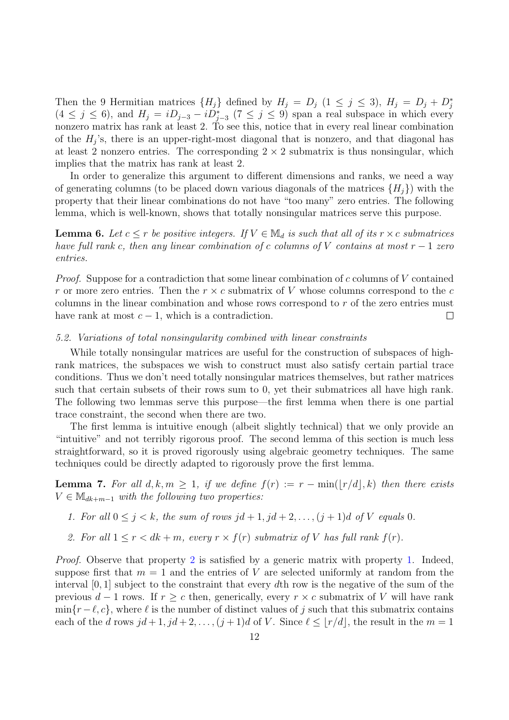Then the 9 Hermitian matrices  $\{H_j\}$  defined by  $H_j = D_j$   $(1 \le j \le 3)$ ,  $H_j = D_j + D_j^*$  $(4 \leq j \leq 6)$ , and  $H_j = iD_{j-3} - iD_{j-3}^*$   $(7 \leq j \leq 9)$  span a real subspace in which every nonzero matrix has rank at least 2. To see this, notice that in every real linear combination of the  $H_j$ 's, there is an upper-right-most diagonal that is nonzero, and that diagonal has at least 2 nonzero entries. The corresponding  $2 \times 2$  submatrix is thus nonsingular, which implies that the matrix has rank at least 2.

In order to generalize this argument to different dimensions and ranks, we need a way of generating columns (to be placed down various diagonals of the matrices  $\{H_i\}$ ) with the property that their linear combinations do not have "too many" zero entries. The following lemma, which is well-known, shows that totally nonsingular matrices serve this purpose.

<span id="page-11-3"></span>**Lemma 6.** Let  $c \leq r$  be positive integers. If  $V \in M_d$  is such that all of its  $r \times c$  submatrices have full rank c, then any linear combination of c columns of V contains at most  $r - 1$  zero entries.

*Proof.* Suppose for a contradiction that some linear combination of  $c$  columns of  $V$  contained r or more zero entries. Then the  $r \times c$  submatrix of V whose columns correspond to the c columns in the linear combination and whose rows correspond to r of the zero entries must have rank at most  $c - 1$ , which is a contradiction.  $\Box$ 

#### 5.2. Variations of total nonsingularity combined with linear constraints

While totally nonsingular matrices are useful for the construction of subspaces of highrank matrices, the subspaces we wish to construct must also satisfy certain partial trace conditions. Thus we don't need totally nonsingular matrices themselves, but rather matrices such that certain subsets of their rows sum to 0, yet their submatrices all have high rank. The following two lemmas serve this purpose—the first lemma when there is one partial trace constraint, the second when there are two.

The first lemma is intuitive enough (albeit slightly technical) that we only provide an "intuitive" and not terribly rigorous proof. The second lemma of this section is much less straightforward, so it is proved rigorously using algebraic geometry techniques. The same techniques could be directly adapted to rigorously prove the first lemma.

<span id="page-11-2"></span>**Lemma 7.** For all  $d, k, m \geq 1$ , if we define  $f(r) := r - \min(|r/d|, k)$  then there exists  $V \in \mathbb{M}_{dk+m-1}$  with the following two properties:

- <span id="page-11-1"></span>1. For all  $0 \leq j \leq k$ , the sum of rows  $jd+1, jd+2, \ldots, (j+1)d$  of V equals 0.
- <span id="page-11-0"></span>2. For all  $1 \le r \le dk+m$ , every  $r \times f(r)$  submatrix of V has full rank  $f(r)$ .

Proof. Observe that property [2](#page-11-0) is satisfied by a generic matrix with property [1.](#page-11-1) Indeed, suppose first that  $m = 1$  and the entries of V are selected uniformly at random from the interval  $[0, 1]$  subject to the constraint that every dth row is the negative of the sum of the previous  $d-1$  rows. If  $r \geq c$  then, generically, every  $r \times c$  submatrix of V will have rank  $\min\{r-\ell, c\}$ , where  $\ell$  is the number of distinct values of j such that this submatrix contains each of the d rows  $jd + 1$ ,  $jd + 2, \ldots, (j + 1)d$  of V. Since  $\ell \leq |r/d|$ , the result in the  $m = 1$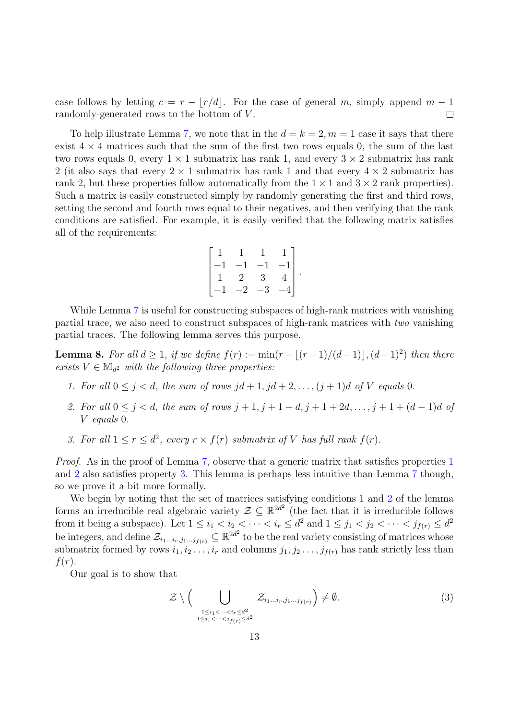case follows by letting  $c = r - |r/d|$ . For the case of general m, simply append  $m - 1$ randomly-generated rows to the bottom of V.  $\Box$ 

To help illustrate Lemma [7,](#page-11-2) we note that in the  $d = k = 2, m = 1$  case it says that there exist  $4 \times 4$  matrices such that the sum of the first two rows equals 0, the sum of the last two rows equals 0, every  $1 \times 1$  submatrix has rank 1, and every  $3 \times 2$  submatrix has rank 2 (it also says that every  $2 \times 1$  submatrix has rank 1 and that every  $4 \times 2$  submatrix has rank 2, but these properties follow automatically from the  $1 \times 1$  and  $3 \times 2$  rank properties). Such a matrix is easily constructed simply by randomly generating the first and third rows, setting the second and fourth rows equal to their negatives, and then verifying that the rank conditions are satisfied. For example, it is easily-verified that the following matrix satisfies all of the requirements:

$$
\begin{bmatrix} 1 & 1 & 1 & 1 \ -1 & -1 & -1 & -1 \ 1 & 2 & 3 & 4 \ -1 & -2 & -3 & -4 \ \end{bmatrix}.
$$

While Lemma [7](#page-11-2) is useful for constructing subspaces of high-rank matrices with vanishing partial trace, we also need to construct subspaces of high-rank matrices with two vanishing partial traces. The following lemma serves this purpose.

<span id="page-12-4"></span>**Lemma 8.** For all  $d \geq 1$ , if we define  $f(r) := min(r - \lfloor (r-1)/(d-1) \rfloor, (d-1)^2)$  then there exists  $V \in M_{d^2}$  with the following three properties:

- <span id="page-12-0"></span>1. For all  $0 \leq j \leq d$ , the sum of rows  $jd+1, jd+2, \ldots, (j+1)d$  of V equals 0.
- <span id="page-12-1"></span>2. For all  $0 \le j < d$ , the sum of rows  $j + 1, j + 1 + d, j + 1 + 2d, ..., j + 1 + (d - 1)d$  of V equals 0.
- <span id="page-12-2"></span>3. For all  $1 \le r \le d^2$ , every  $r \times f(r)$  submatrix of V has full rank  $f(r)$ .

Proof. As in the proof of Lemma [7,](#page-11-2) observe that a generic matrix that satisfies properties [1](#page-12-0) and [2](#page-12-1) also satisfies property [3.](#page-12-2) This lemma is perhaps less intuitive than Lemma [7](#page-11-2) though, so we prove it a bit more formally.

We begin by noting that the set of matrices satisfying conditions [1](#page-12-0) and [2](#page-12-1) of the lemma forms an irreducible real algebraic variety  $\mathcal{Z} \subseteq \mathbb{R}^{2d^2}$  (the fact that it is irreducible follows from it being a subspace). Let  $1 \leq i_1 < i_2 < \cdots < i_r \leq d^2$  and  $1 \leq j_1 < j_2 < \cdots < j_{f(r)} \leq d^2$ be integers, and define  $\mathcal{Z}_{i_1...i_r,j_1...j_{f(r)}} \subseteq \mathbb{R}^{2d^2}$  to be the real variety consisting of matrices whose submatrix formed by rows  $i_1, i_2, \ldots, i_r$  and columns  $j_1, j_2, \ldots, j_{f(r)}$  has rank strictly less than  $f(r)$ .

Our goal is to show that

<span id="page-12-3"></span>
$$
\mathcal{Z} \setminus \Big( \bigcup_{\substack{1 \leq i_1 < \dots < i_r \leq d^2 \\ 1 \leq j_1 < \dots < j_{f(r)} \leq d^2}} \mathcal{Z}_{i_1 \dots i_r, j_1 \dots j_{f(r)}} \Big) \neq \emptyset. \tag{3}
$$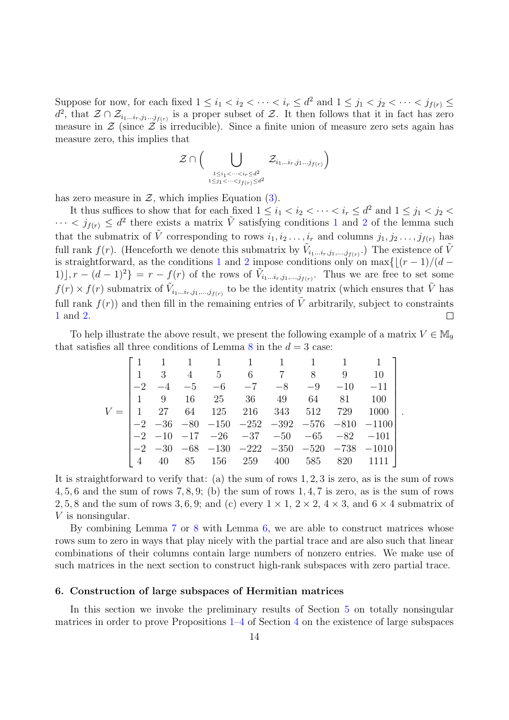Suppose for now, for each fixed  $1 \leq i_1 < i_2 < \cdots < i_r \leq d^2$  and  $1 \leq j_1 < j_2 < \cdots < j_{f(r)} \leq d^2$  $d^2$ , that  $\mathcal{Z} \cap \mathcal{Z}_{i_1...i_r,j_1...j_{f(r)}}$  is a proper subset of  $\mathcal{Z}$ . It then follows that it in fact has zero measure in  $\mathcal Z$  (since  $\mathcal Z$  is irreducible). Since a finite union of measure zero sets again has measure zero, this implies that

$$
\mathcal{Z} \cap \Big( \bigcup_{\substack{1 \leq i_1 < \cdots < i_r \leq d^2 \\ 1 \leq j_1 < \cdots < j_{f(r)} \leq d^2}} \mathcal{Z}_{i_1 \ldots i_r, j_1 \ldots j_{f(r)}} \Big)
$$

has zero measure in  $\mathcal{Z}$ , which implies Equation [\(3\)](#page-12-3).

It thus suffices to show that for each fixed  $1 \leq i_1 < i_2 < \cdots < i_r \leq d^2$  and  $1 \leq j_1 < j_2 <$  $\cdots < j_{f(r)} \leq d^2$  $\cdots < j_{f(r)} \leq d^2$  there exists a matrix  $\tilde{V}$  satisfying conditions [1](#page-12-0) and 2 of the lemma such that the submatrix of  $\tilde{V}$  corresponding to rows  $i_1, i_2, \ldots, i_r$  and columns  $j_1, j_2, \ldots, j_{f(r)}$  has full rank  $f(r)$ . (Henceforth we denote this submatrix by  $\tilde{V}_{i_1...i_r,j_1,...,j_{f(r)}}$ .) The existence of  $\tilde{V}$ is straightforward, as the conditions [1](#page-12-0) and [2](#page-12-1) impose conditions only on  $\max\{[(r - 1)/(d -$ 1)],  $r - (d-1)^2$  =  $r - f(r)$  of the rows of  $\tilde{V}_{i_1...i_r,j_1,...,j_{f(r)}}$ . Thus we are free to set some  $f(r) \times f(r)$  submatrix of  $\tilde{V}_{i_1...i_r,j_1,...,j_{f(r)}}$  to be the identity matrix (which ensures that  $\tilde{V}$  has full rank  $f(r)$  and then fill in the remaining entries of  $\tilde{V}$  arbitrarily, subject to constraints [1](#page-12-0) and [2.](#page-12-1)  $\Box$ 

To help illustrate the above result, we present the following example of a matrix  $V \in M_9$ that satisfies all three conditions of Lemma [8](#page-12-4) in the  $d = 3$  case:

|       |      |  |  |  | $1 \quad 1 \quad 1 \quad 1 \quad 1 \quad 1 \quad 1 \quad 1 \quad 1$                                                   |                                                                             |  |
|-------|------|--|--|--|-----------------------------------------------------------------------------------------------------------------------|-----------------------------------------------------------------------------|--|
|       |      |  |  |  | $\begin{array}{cccccccc} \n\begin{array}{ccccccccccc} 1 & 3 & 4 & 5 & 6 & 7 & 8 & 9 & 10 \n\end{array} \n\end{array}$ |                                                                             |  |
|       | $-2$ |  |  |  | $-4 \quad -5 \quad -6 \quad -7 \quad -8 \quad -9 \quad -10 \quad -11$                                                 |                                                                             |  |
|       |      |  |  |  |                                                                                                                       |                                                                             |  |
| $V =$ |      |  |  |  | $\begin{bmatrix} 1 & 27 & 64 & 125 & 216 & 343 & 512 & 729 \end{bmatrix}$                                             | 1000                                                                        |  |
|       |      |  |  |  |                                                                                                                       | $-2 \ \ -36 \ \ -80 \ \ -150 \ \ -252 \ \ -392 \ \ -576 \ \ -810 \ \ -1100$ |  |
|       |      |  |  |  | $-2$ $-10$ $-17$ $-26$ $-37$ $-50$ $-65$ $-82$ $-101$                                                                 |                                                                             |  |
|       |      |  |  |  |                                                                                                                       | $-2$ $-30$ $-68$ $-130$ $-222$ $-350$ $-520$ $-738$ $-1010$                 |  |
|       |      |  |  |  | 40 85 156 259 400 585 820 1111                                                                                        |                                                                             |  |

It is straightforward to verify that: (a) the sum of rows 1, 2, 3 is zero, as is the sum of rows 4, 5, 6 and the sum of rows 7, 8, 9; (b) the sum of rows 1, 4, 7 is zero, as is the sum of rows 2, 5, 8 and the sum of rows 3, 6, 9; and (c) every  $1 \times 1$ ,  $2 \times 2$ ,  $4 \times 3$ , and  $6 \times 4$  submatrix of V is nonsingular.

By combining Lemma [7](#page-11-2) or [8](#page-12-4) with Lemma [6,](#page-11-3) we are able to construct matrices whose rows sum to zero in ways that play nicely with the partial trace and are also such that linear combinations of their columns contain large numbers of nonzero entries. We make use of such matrices in the next section to construct high-rank subspaces with zero partial trace.

## <span id="page-13-0"></span>6. Construction of large subspaces of Hermitian matrices

In this section we invoke the preliminary results of Section [5](#page-10-0) on totally nonsingular matrices in order to prove Propositions [1](#page-8-2)[–4](#page-9-4) of Section [4](#page-7-0) on the existence of large subspaces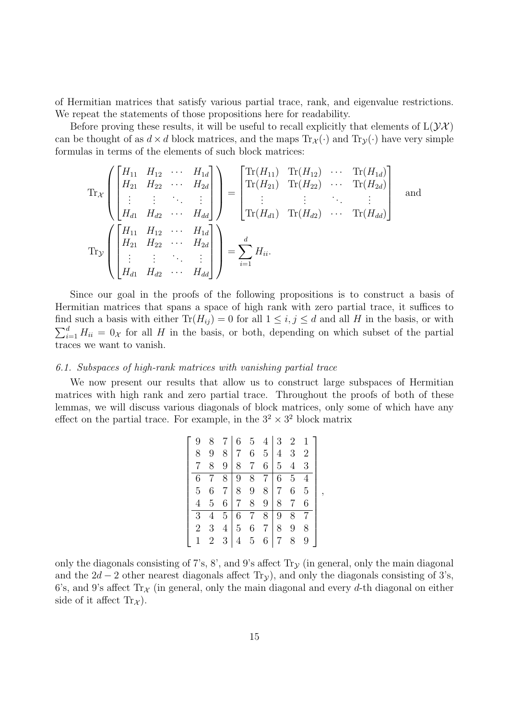of Hermitian matrices that satisfy various partial trace, rank, and eigenvalue restrictions. We repeat the statements of those propositions here for readability.

Before proving these results, it will be useful to recall explicitly that elements of  $L(\mathcal{YX})$ can be thought of as  $d \times d$  block matrices, and the maps  $Tr_{\mathcal{X}}(\cdot)$  and  $Tr_{\mathcal{Y}}(\cdot)$  have very simple formulas in terms of the elements of such block matrices:

$$
\operatorname{Tr}_{\mathcal{X}}\left(\begin{bmatrix} H_{11} & H_{12} & \cdots & H_{1d} \\ H_{21} & H_{22} & \cdots & H_{2d} \\ \vdots & \vdots & \ddots & \vdots \\ H_{d1} & H_{d2} & \cdots & H_{dd} \end{bmatrix}\right) = \begin{bmatrix} \operatorname{Tr}(H_{11}) & \operatorname{Tr}(H_{12}) & \cdots & \operatorname{Tr}(H_{1d}) \\ \operatorname{Tr}(H_{21}) & \operatorname{Tr}(H_{22}) & \cdots & \operatorname{Tr}(H_{2d}) \\ \vdots & \vdots & \ddots & \vdots \\ \operatorname{Tr}(H_{d1}) & \operatorname{Tr}(H_{d2}) & \cdots & \operatorname{Tr}(H_{dd}) \end{bmatrix} \text{ and }
$$
\n
$$
\operatorname{Tr}_{\mathcal{Y}}\left(\begin{bmatrix} H_{11} & H_{12} & \cdots & H_{1d} \\ H_{21} & H_{22} & \cdots & H_{2d} \\ \vdots & \vdots & \ddots & \vdots \\ H_{d1} & H_{d2} & \cdots & H_{dd} \end{bmatrix}\right) = \sum_{i=1}^{d} H_{ii}.
$$

Since our goal in the proofs of the following propositions is to construct a basis of Hermitian matrices that spans a space of high rank with zero partial trace, it suffices to find such a basis with either  $\text{Tr}(H_{ij}) = 0$  for all  $1 \leq i, j \leq d$  and all H in the basis, or with  $\sum_{i=1}^{d} H_{ii} = 0_{\mathcal{X}}$  for all H in the basis, or both, depending on which subset of the partial traces we want to vanish.

#### 6.1. Subspaces of high-rank matrices with vanishing partial trace

We now present our results that allow us to construct large subspaces of Hermitian matrices with high rank and zero partial trace. Throughout the proofs of both of these lemmas, we will discuss various diagonals of block matrices, only some of which have any effect on the partial trace. For example, in the  $3^2 \times 3^2$  block matrix

| 9              | 8              | 7 6            |                |                 | 5 4 3 2 1      |                |                |                |                |
|----------------|----------------|----------------|----------------|-----------------|----------------|----------------|----------------|----------------|----------------|
| 8              |                | 8              | $\overline{7}$ | 6               | 5 <sup>1</sup> | $\overline{4}$ | 3 <sup>1</sup> | 2              |                |
|                | 8              | 9              | 8              | $7\overline{ }$ | 6 <sup>1</sup> | 5 <sup>5</sup> | $\overline{4}$ | 3              |                |
| 6              |                | 8              | 9              | 8               | 7 <sup>1</sup> | 6              | $\overline{5}$ |                |                |
| 5              | 6              | 7 <sup>1</sup> | 8              | 9               | 8              | $\overline{7}$ | 6              | $\overline{5}$ | $\overline{ }$ |
| 4              | $\overline{5}$ |                | $6 \mid 7$     | 8               | 9 <sup>°</sup> | 8              | $\overline{7}$ | 6              |                |
| 3              | 4              | 5 <sup>2</sup> | 6              | $7\overline{ }$ | 8              | 9              | 8              |                |                |
| $\overline{2}$ | 3              | 4 <sub>1</sub> | 5 <sup>5</sup> |                 | $6\quad7$      | 8              | 9              | 8              |                |
|                | $2^{-}$        | 3              |                | $5\overline{)}$ | 6              | $7^{\circ}$    | 8              | 9              |                |

only the diagonals consisting of 7's, 8', and 9's affect  $Tr<sub>y</sub>$  (in general, only the main diagonal and the  $2d - 2$  other nearest diagonals affect Tr<sub>y</sub>), and only the diagonals consisting of 3's, 6's, and 9's affect  $\text{Tr}_{\mathcal{X}}$  (in general, only the main diagonal and every d-th diagonal on either side of it affect  $Tr_{\mathcal{X}}$ ).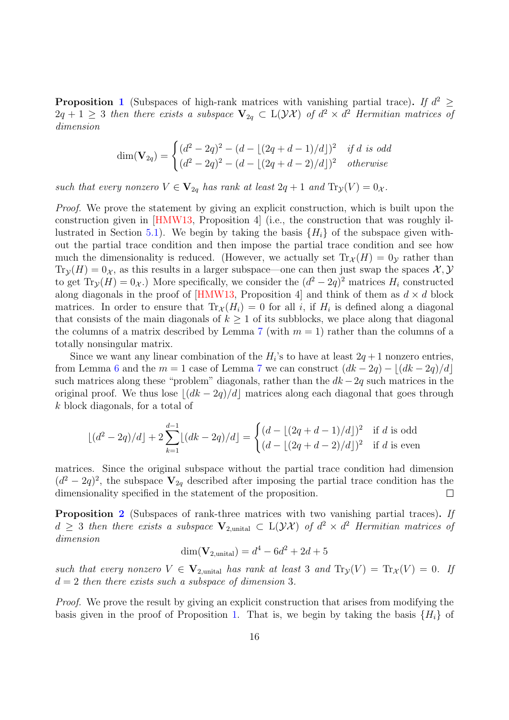**Proposition [1](#page-8-2)** (Subspaces of high-rank matrices with vanishing partial trace). If  $d^2 \geq$  $2q + 1 \geq 3$  then there exists a subspace  $\mathbf{V}_{2q} \subset L(\mathcal{YX})$  of  $d^2 \times d^2$  Hermitian matrices of dimension

$$
\dim(\mathbf{V}_{2q}) = \begin{cases} (d^2 - 2q)^2 - (d - \lfloor (2q + d - 1)/d \rfloor)^2 & \text{if } d \text{ is odd} \\ (d^2 - 2q)^2 - (d - \lfloor (2q + d - 2)/d \rfloor)^2 & \text{otherwise} \end{cases}
$$

such that every nonzero  $V \in V_{2q}$  has rank at least  $2q+1$  and  $\text{Tr}_{\mathcal{Y}}(V) = 0_{\mathcal{X}}$ .

*Proof.* We prove the statement by giving an explicit construction, which is built upon the construction given in [\[HMW13,](#page-23-0) Proposition 4] (i.e., the construction that was roughly il-lustrated in Section [5.1\)](#page-10-1). We begin by taking the basis  $\{H_i\}$  of the subspace given without the partial trace condition and then impose the partial trace condition and see how much the dimensionality is reduced. (However, we actually set  $\text{Tr}_{\mathcal{X}}(H) = 0_{\mathcal{V}}$  rather than  $\text{Tr}_{\mathcal{Y}}(H) = 0_{\mathcal{X}}$ , as this results in a larger subspace—one can then just swap the spaces  $\mathcal{X}, \mathcal{Y}$ to get  $\text{Tr}_{\mathcal{Y}}(H) = 0_{\mathcal{X}}$ .) More specifically, we consider the  $(d^2 - 2q)^2$  matrices  $H_i$  constructed along diagonals in the proof of [\[HMW13,](#page-23-0) Proposition 4] and think of them as  $d \times d$  block matrices. In order to ensure that  $\text{Tr}_{\mathcal{X}}(H_i) = 0$  for all i, if  $H_i$  is defined along a diagonal that consists of the main diagonals of  $k \geq 1$  of its subblocks, we place along that diagonal the columns of a matrix described by Lemma [7](#page-11-2) (with  $m = 1$ ) rather than the columns of a totally nonsingular matrix.

Since we want any linear combination of the  $H_i$ 's to have at least  $2q + 1$  nonzero entries, from Lemma [6](#page-11-3) and the  $m = 1$  case of Lemma [7](#page-11-2) we can construct  $(dk - 2q) - |(dk - 2q)/d|$ such matrices along these "problem" diagonals, rather than the  $dk - 2q$  such matrices in the original proof. We thus lose  $\lfloor (dk - 2q)/d \rfloor$  matrices along each diagonal that goes through k block diagonals, for a total of

$$
\lfloor (d^2 - 2q)/d \rfloor + 2 \sum_{k=1}^{d-1} \lfloor (dk - 2q)/d \rfloor = \begin{cases} (d - \lfloor (2q + d - 1)/d \rfloor)^2 & \text{if } d \text{ is odd} \\ (d - \lfloor (2q + d - 2)/d \rfloor)^2 & \text{if } d \text{ is even} \end{cases}
$$

matrices. Since the original subspace without the partial trace condition had dimension  $(d^2-2q)^2$ , the subspace  $V_{2q}$  described after imposing the partial trace condition has the dimensionality specified in the statement of the proposition.  $\Box$ 

Proposition [2](#page-8-1) (Subspaces of rank-three matrices with two vanishing partial traces). If  $d \geq 3$  then there exists a subspace  $V_{2,\text{unital}} \subset L(\mathcal{YX})$  of  $d^2 \times d^2$  Hermitian matrices of dimension

$$
\dim(\mathbf{V}_{2,\text{unital}}) = d^4 - 6d^2 + 2d + 5
$$

such that every nonzero  $V \in V_{2,\text{unital}}$  has rank at least 3 and  $\text{Tr}_\mathcal{Y}(V) = \text{Tr}_\mathcal{X}(V) = 0$ . If  $d = 2$  then there exists such a subspace of dimension 3.

Proof. We prove the result by giving an explicit construction that arises from modifying the basis given in the proof of Proposition [1.](#page-8-2) That is, we begin by taking the basis  $\{H_i\}$  of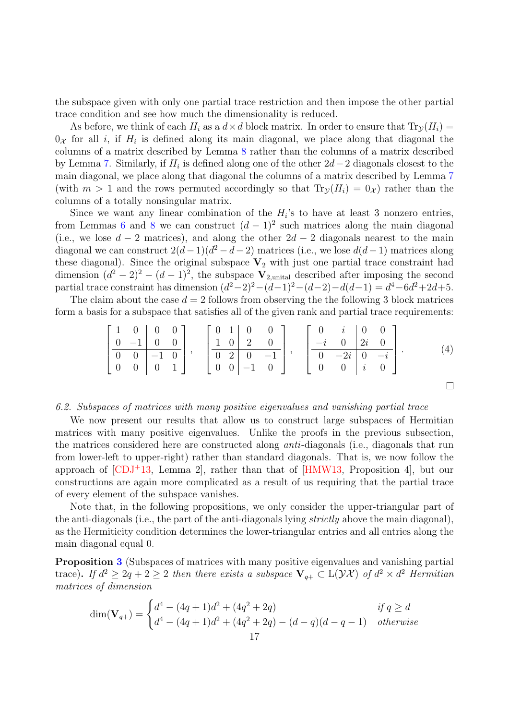the subspace given with only one partial trace restriction and then impose the other partial trace condition and see how much the dimensionality is reduced.

As before, we think of each  $H_i$  as a  $d \times d$  block matrix. In order to ensure that  $\text{Tr}_{\mathcal{V}}(H_i)$  $0_{\mathcal{X}}$  for all *i*, if  $H_i$  is defined along its main diagonal, we place along that diagonal the columns of a matrix described by Lemma [8](#page-12-4) rather than the columns of a matrix described by Lemma [7.](#page-11-2) Similarly, if  $H_i$  is defined along one of the other  $2d-2$  diagonals closest to the main diagonal, we place along that diagonal the columns of a matrix described by Lemma [7](#page-11-2) (with  $m > 1$  and the rows permuted accordingly so that  $\text{Tr}_{\mathcal{Y}}(H_i) = 0_{\mathcal{X}}$ ) rather than the columns of a totally nonsingular matrix.

Since we want any linear combination of the  $H_i$ 's to have at least 3 nonzero entries, from Lemmas [6](#page-11-3) and [8](#page-12-4) we can construct  $(d-1)^2$  such matrices along the main diagonal (i.e., we lose  $d-2$  matrices), and along the other  $2d-2$  diagonals nearest to the main diagonal we can construct  $2(d-1)(d^2-d-2)$  matrices (i.e., we lose  $d(d-1)$  matrices along these diagonal). Since the original subspace  $V_2$  with just one partial trace constraint had dimension  $(d^2 - 2)^2 - (d - 1)^2$ , the subspace  $V_{2,\text{unital}}$  described after imposing the second partial trace constraint has dimension  $(d^2-2)^2-(d-1)^2-(d-2)-d(d-1) = d^4-6d^2+2d+5$ .

The claim about the case  $d = 2$  follows from observing the the following 3 block matrices form a basis for a subspace that satisfies all of the given rank and partial trace requirements:

$$
\left[\begin{array}{cc|cc} 1 & 0 & 0 & 0 \\ 0 & -1 & 0 & 0 \\ \hline 0 & 0 & -1 & 0 \\ 0 & 0 & 0 & 1 \end{array}\right], \quad \left[\begin{array}{cc|cc} 0 & 1 & 0 & 0 \\ 1 & 0 & 2 & 0 \\ \hline 0 & 2 & 0 & -1 \\ 0 & 0 & -1 & 0 \end{array}\right], \quad \left[\begin{array}{cc|cc} 0 & i & 0 & 0 \\ -i & 0 & 2i & 0 \\ \hline 0 & -2i & 0 & -i \\ 0 & 0 & i & 0 \end{array}\right].
$$
 (4)

<span id="page-16-1"></span> $\Box$ 

#### <span id="page-16-0"></span>6.2. Subspaces of matrices with many positive eigenvalues and vanishing partial trace

We now present our results that allow us to construct large subspaces of Hermitian matrices with many positive eigenvalues. Unlike the proofs in the previous subsection, the matrices considered here are constructed along anti-diagonals (i.e., diagonals that run from lower-left to upper-right) rather than standard diagonals. That is, we now follow the approach of  $[CDJ+13, Lemma 2]$  $[CDJ+13, Lemma 2]$ , rather than that of  $[HMW13, Proposition 4]$  $[HMW13, Proposition 4]$ , but our constructions are again more complicated as a result of us requiring that the partial trace of every element of the subspace vanishes.

Note that, in the following propositions, we only consider the upper-triangular part of the anti-diagonals (i.e., the part of the anti-diagonals lying strictly above the main diagonal), as the Hermiticity condition determines the lower-triangular entries and all entries along the main diagonal equal 0.

Proposition [3](#page-9-3) (Subspaces of matrices with many positive eigenvalues and vanishing partial trace). If  $d^2 \geq 2q + 2 \geq 2$  then there exists a subspace  $\mathbf{V}_{q+} \subset L(\mathcal{YX})$  of  $d^2 \times d^2$  Hermitian matrices of dimension

$$
\dim(\mathbf{V}_{q+}) = \begin{cases} d^4 - (4q+1)d^2 + (4q^2+2q) & \text{if } q \ge d \\ d^4 - (4q+1)d^2 + (4q^2+2q) - (d-q)(d-q-1) & \text{otherwise} \end{cases}
$$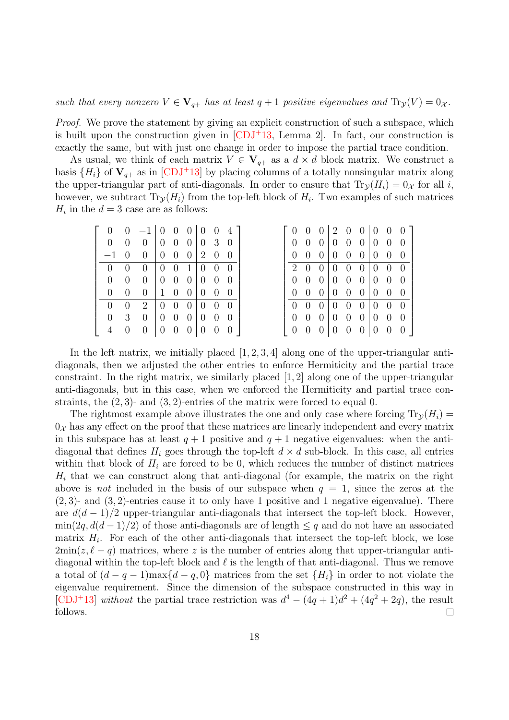such that every nonzero  $V \in V_{q+}$  has at least  $q+1$  positive eigenvalues and  $\text{Tr}_{\mathcal{Y}}(V) = 0_{\mathcal{X}}$ .

Proof. We prove the statement by giving an explicit construction of such a subspace, which is built upon the construction given in  $[CDJ<sup>+</sup>13$  $[CDJ<sup>+</sup>13$ , Lemma 2. In fact, our construction is exactly the same, but with just one change in order to impose the partial trace condition.

As usual, we think of each matrix  $V \in V_{q+}$  as a  $d \times d$  block matrix. We construct a basis  $\{H_i\}$  of  $V_{q+}$  as in [\[CDJ](#page-23-1)+13] by placing columns of a totally nonsingular matrix along the upper-triangular part of anti-diagonals. In order to ensure that  $\text{Tr}_{\mathcal{Y}}(H_i) = 0_{\mathcal{X}}$  for all i, however, we subtract  $\text{Tr}_{\mathcal{Y}}(H_i)$  from the top-left block of  $H_i$ . Two examples of such matrices  $H_i$  in the  $d = 3$  case are as follows:

|             |                | $0 -1 0 0 0 0 0 0 4$                           |                                                        |  |          |
|-------------|----------------|------------------------------------------------|--------------------------------------------------------|--|----------|
|             | $\overline{0}$ | $0 \t0 \t0 \t0 \t0 \t3 \t0$                    |                                                        |  |          |
|             |                | $-1$ 0 0 0 0 0 2 0 0                           |                                                        |  |          |
| $0 \quad 0$ |                | $\begin{bmatrix} 0 & 0 \\ 0 & 0 \end{bmatrix}$ | $\begin{pmatrix} 0 & 0 & 1 & 0 & 0 & 0 \end{pmatrix}$  |  |          |
|             | $\overline{0}$ | $\begin{matrix}0\end{matrix}$                  | $\begin{pmatrix} 0 & 0 & 0 \\ 0 & 0 & 0 \end{pmatrix}$ |  |          |
|             | $\overline{0}$ | $\begin{matrix}0\end{matrix}$                  | 100000                                                 |  |          |
|             | $\overline{0}$ | 2 0 0 0 0 0 0                                  |                                                        |  |          |
|             | 3              | $\begin{matrix} 0 \end{matrix}$                | $\begin{pmatrix} 0 & 0 & 0 \\ 0 & 0 & 0 \end{pmatrix}$ |  |          |
|             |                | $\theta$                                       | $\begin{pmatrix} 0 & 0 & 0 \end{pmatrix}$ 0 0          |  | $\theta$ |

In the left matrix, we initially placed  $[1, 2, 3, 4]$  along one of the upper-triangular antidiagonals, then we adjusted the other entries to enforce Hermiticity and the partial trace constraint. In the right matrix, we similarly placed  $[1, 2]$  along one of the upper-triangular anti-diagonals, but in this case, when we enforced the Hermiticity and partial trace constraints, the  $(2, 3)$ - and  $(3, 2)$ -entries of the matrix were forced to equal 0.

The rightmost example above illustrates the one and only case where forcing  $\text{Tr}_{\mathcal{V}}(H_i)$  $0<sub>x</sub>$  has any effect on the proof that these matrices are linearly independent and every matrix in this subspace has at least  $q + 1$  positive and  $q + 1$  negative eigenvalues: when the antidiagonal that defines  $H_i$  goes through the top-left  $d \times d$  sub-block. In this case, all entries within that block of  $H_i$  are forced to be 0, which reduces the number of distinct matrices  $H_i$  that we can construct along that anti-diagonal (for example, the matrix on the right above is not included in the basis of our subspace when  $q = 1$ , since the zeros at the  $(2, 3)$ - and  $(3, 2)$ -entries cause it to only have 1 positive and 1 negative eigenvalue). There are  $d(d-1)/2$  upper-triangular anti-diagonals that intersect the top-left block. However,  $\min(2q, d(d-1)/2)$  of those anti-diagonals are of length  $\leq q$  and do not have an associated matrix  $H_i$ . For each of the other anti-diagonals that intersect the top-left block, we lose  $2\min(z, \ell - q)$  matrices, where z is the number of entries along that upper-triangular antidiagonal within the top-left block and  $\ell$  is the length of that anti-diagonal. Thus we remove a total of  $(d - q - 1)$ max $\{d - q, 0\}$  matrices from the set  $\{H_i\}$  in order to not violate the eigenvalue requirement. Since the dimension of the subspace constructed in this way in [\[CDJ](#page-23-1)<sup>+</sup>13] without the partial trace restriction was  $d^4 - (4q + 1)d^2 + (4q^2 + 2q)$ , the result follows.  $\Box$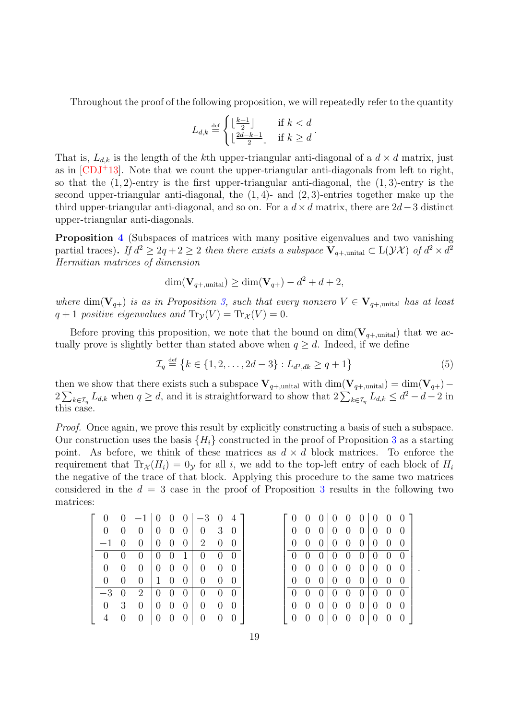Throughout the proof of the following proposition, we will repeatedly refer to the quantity

$$
L_{d,k} \stackrel{\text{def}}{=} \begin{cases} \lfloor \frac{k+1}{2} \rfloor & \text{if } k < d \\ \lfloor \frac{2d-k-1}{2} \rfloor & \text{if } k \ge d \end{cases}.
$$

That is,  $L_{d,k}$  is the length of the kth upper-triangular anti-diagonal of a  $d \times d$  matrix, just as in  $\text{CDJ+13}$ . Note that we count the upper-triangular anti-diagonals from left to right, so that the  $(1, 2)$ -entry is the first upper-triangular anti-diagonal, the  $(1, 3)$ -entry is the second upper-triangular anti-diagonal, the  $(1, 4)$ - and  $(2, 3)$ -entries together make up the third upper-triangular anti-diagonal, and so on. For a  $d \times d$  matrix, there are 2d – 3 distinct upper-triangular anti-diagonals.

Proposition [4](#page-9-4) (Subspaces of matrices with many positive eigenvalues and two vanishing partial traces). If  $d^2 \geq 2q + 2 \geq 2$  then there exists a subspace  $\mathbf{V}_{q+\text{,unital}} \subset \mathrm{L}(\mathcal{YX})$  of  $d^2 \times d^2$ Hermitian matrices of dimension

$$
\dim(\mathbf{V}_{q+,\text{unital}}) \ge \dim(\mathbf{V}_{q+}) - d^2 + d + 2,
$$

where  $\dim(V_{q+})$  is as in Proposition [3,](#page-9-3) such that every nonzero  $V \in V_{q+,\text{unital}}$  has at least  $q + 1$  positive eigenvalues and  $\text{Tr}_{\mathcal{V}}(V) = \text{Tr}_{\mathcal{X}}(V) = 0$ .

Before proving this proposition, we note that the bound on  $\dim(\mathbf{V}_{q+\text{,unital}})$  that we actually prove is slightly better than stated above when  $q \geq d$ . Indeed, if we define

$$
\mathcal{I}_q \stackrel{\text{def}}{=} \{k \in \{1, 2, \dots, 2d - 3\} : L_{d^2, dk} \ge q + 1\}
$$
\n<sup>(5)</sup>

then we show that there exists such a subspace  $V_{q+,\text{unital}}$  with dim $(V_{q+,\text{unital}}) = \dim(V_{q+}) 2\sum_{k\in\mathcal{I}_q}L_{d,k}$  when  $q\geq d$ , and it is straightforward to show that  $2\sum_{k\in\mathcal{I}_q}L_{d,k}\leq d^2-d-2$  in this case.

Proof. Once again, we prove this result by explicitly constructing a basis of such a subspace. Our construction uses the basis  $\{H_i\}$  constructed in the proof of Proposition [3](#page-9-3) as a starting point. As before, we think of these matrices as  $d \times d$  block matrices. To enforce the requirement that  $\text{Tr}_{\mathcal{X}}(H_i) = 0_{\mathcal{Y}}$  for all i, we add to the top-left entry of each block of  $H_i$ the negative of the trace of that block. Applying this procedure to the same two matrices considered in the  $d = 3$  $d = 3$  case in the proof of Proposition 3 results in the following two matrices:

|                |   | $-1$   0 0     |                |                  |                  | $0 \mid -3$    | $\theta$       | $\overline{4}$ |
|----------------|---|----------------|----------------|------------------|------------------|----------------|----------------|----------------|
| 0              | 0 | $\overline{0}$ | $\overline{0}$ | $\overline{0}$   | $\boldsymbol{0}$ | $\theta$       | 3              | $\theta$       |
|                | 0 | $\overline{0}$ | $\overline{0}$ | $\overline{0}$   | $\overline{0}$   | 2              | 0              | $\overline{0}$ |
| 0              | 0 | $\overline{0}$ | 0              | $\boldsymbol{0}$ | $\mathbf{1}$     | $\overline{0}$ | $\overline{0}$ | $\overline{0}$ |
| $\overline{0}$ | 0 | $\overline{0}$ | $\theta$       | $\overline{0}$   | $\overline{0}$   | $\overline{0}$ | $\overline{0}$ | $\theta$       |
| 0              | 0 | $\overline{0}$ | 1              | $\overline{0}$   | $\overline{0}$   | $\overline{0}$ | 0              | $\overline{0}$ |
| $-3$           | 0 | $\overline{2}$ | $\overline{0}$ | 0                | 0                | $\theta$       | 0              | 0              |
| 0              | 3 | $\overline{0}$ | $\overline{0}$ | $\overline{0}$   | $\overline{0}$   | $\overline{0}$ | 0              | $\theta$       |
|                |   | 0              | 0              | 0                | 0                | $\overline{0}$ |                |                |

| $\overline{0}$ | $\overline{0}$ |                | $0 \mid 0 \mid 0$ |                  |                | $0 \mid 0$     | $\overline{0}$ | $\overline{0}$ |
|----------------|----------------|----------------|-------------------|------------------|----------------|----------------|----------------|----------------|
| $\overline{0}$ | $\overline{0}$ | $\overline{0}$ | $\overline{0}$    | $\boldsymbol{0}$ | 0 <sup>1</sup> | $\overline{0}$ | $\overline{0}$ | $\overline{0}$ |
| 0              | 0              | 0              | $\overline{0}$    | $\overline{0}$   | $\overline{0}$ | $\overline{0}$ | $\overline{0}$ | $\theta$       |
| $\overline{0}$ | $\overline{0}$ | $\overline{0}$ | $\overline{0}$    | $\tilde{0}$      | $\overline{0}$ | $\tilde{0}$    | $\overline{0}$ | $\overline{0}$ |
| $\overline{0}$ | $\overline{0}$ | $\overline{0}$ | $\overline{0}$    | $\theta$         | 0 <sup>1</sup> | $\overline{0}$ | $\overline{0}$ | $\overline{0}$ |
| 0              | $\overline{0}$ | $\theta$       | $\overline{0}$    | $\boldsymbol{0}$ | $\overline{0}$ | $\overline{0}$ | $\overline{0}$ | 0              |
| 0              | $\overline{0}$ | 0              | $\overline{0}$    | $\overline{0}$   | $\overline{0}$ | $\overline{0}$ | $\overline{0}$ | 0              |
| 0              | 0              | 0              | $\overline{0}$    | $\overline{0}$   | $\overline{0}$ | $\overline{0}$ | $\overline{0}$ | 0              |
| 0              | $\overline{0}$ | $\overline{0}$ | $\overline{0}$    | $\boldsymbol{0}$ | $\overline{0}$ | $\overline{0}$ | $\overline{0}$ | $\theta$       |

<span id="page-18-0"></span>.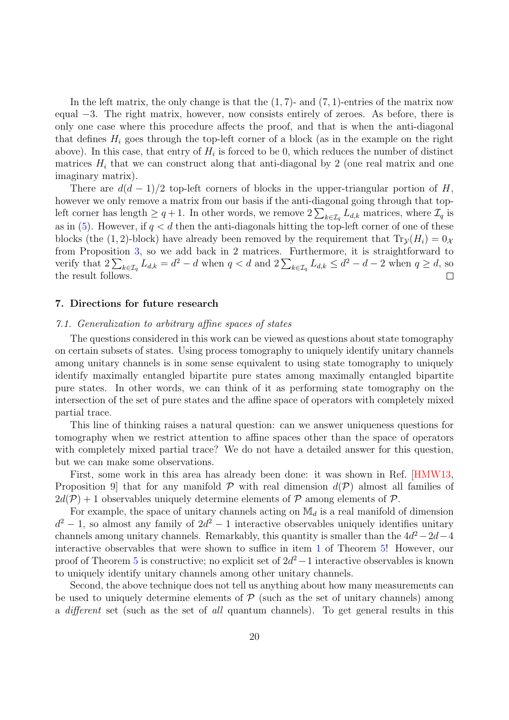In the left matrix, the only change is that the  $(1, 7)$ - and  $(7, 1)$ -entries of the matrix now equal −3. The right matrix, however, now consists entirely of zeroes. As before, there is only one case where this procedure affects the proof, and that is when the anti-diagonal that defines  $H_i$  goes through the top-left corner of a block (as in the example on the right above). In this case, that entry of  $H_i$  is forced to be 0, which reduces the number of distinct matrices  $H_i$  that we can construct along that anti-diagonal by 2 (one real matrix and one imaginary matrix).

There are  $d(d-1)/2$  top-left corners of blocks in the upper-triangular portion of H, however we only remove a matrix from our basis if the anti-diagonal going through that topleft corner has length  $\geq q+1$ . In other words, we remove  $2\sum_{k\in\mathcal{I}_q}L_{d,k}$  matrices, where  $\mathcal{I}_q$  is as in  $(5)$ . However, if  $q < d$  then the anti-diagonals hitting the top-left corner of one of these blocks (the (1, 2)-block) have already been removed by the requirement that  $Tr_{\mathcal{V}}(H_i) = 0_{\mathcal{X}}$ from Proposition [3,](#page-9-3) so we add back in 2 matrices. Furthermore, it is straightforward to verify that  $2\sum_{k\in\mathcal{I}_q} L_{d,k} = d^2 - d$  when  $q < d$  and  $2\sum_{k\in\mathcal{I}_q} L_{d,k} \leq d^2 - d - 2$  when  $q \geq d$ , so the result follows.

# <span id="page-19-0"></span>7. Directions for future research

#### 7.1. Generalization to arbitrary affine spaces of states

The questions considered in this work can be viewed as questions about state tomography on certain subsets of states. Using process tomography to uniquely identify unitary channels among unitary channels is in some sense equivalent to using state tomography to uniquely identify maximally entangled bipartite pure states among maximally entangled bipartite pure states. In other words, we can think of it as performing state tomography on the intersection of the set of pure states and the affine space of operators with completely mixed partial trace.

This line of thinking raises a natural question: can we answer uniqueness questions for tomography when we restrict attention to affine spaces other than the space of operators with completely mixed partial trace? We do not have a detailed answer for this question, but we can make some observations.

First, some work in this area has already been done: it was shown in Ref. [\[HMW13,](#page-23-0) Proposition 9 that for any manifold  $P$  with real dimension  $d(P)$  almost all families of  $2d(\mathcal{P})+1$  observables uniquely determine elements of  $\mathcal P$  among elements of  $\mathcal P$ .

For example, the space of unitary channels acting on  $\mathbb{M}_d$  is a real manifold of dimension  $d^2-1$ , so almost any family of  $2d^2-1$  interactive observables uniquely identifies unitary channels among unitary channels. Remarkably, this quantity is smaller than the  $4d^2-2d-4$ interactive observables that were shown to suffice in item [1](#page-9-5) of Theorem [5!](#page-9-0) However, our proof of Theorem [5](#page-9-0) is constructive; no explicit set of  $2d^2-1$  interactive observables is known to uniquely identify unitary channels among other unitary channels.

Second, the above technique does not tell us anything about how many measurements can be used to uniquely determine elements of  $P$  (such as the set of unitary channels) among a different set (such as the set of all quantum channels). To get general results in this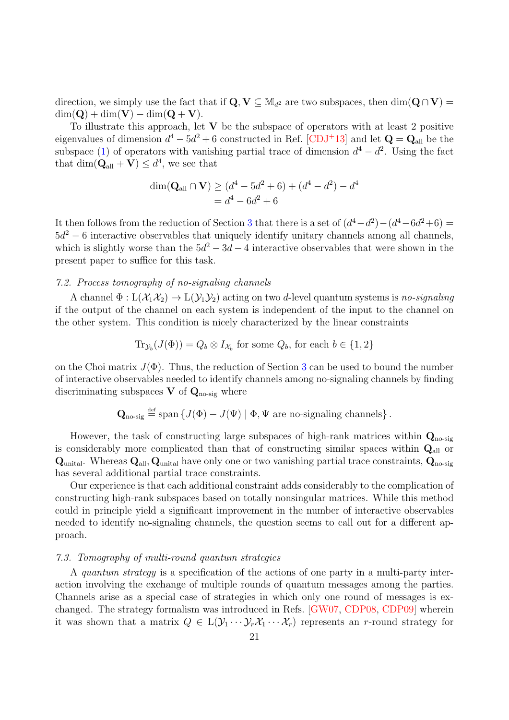direction, we simply use the fact that if  $\mathbf{Q}, \mathbf{V} \subseteq M_{d^2}$  are two subspaces, then  $\dim(\mathbf{Q} \cap \mathbf{V}) =$  $\dim(Q) + \dim(V) - \dim(Q + V).$ 

To illustrate this approach, let  $V$  be the subspace of operators with at least 2 positive eigenvalues of dimension  $d^4 - 5d^2 + 6$  constructed in Ref. [\[CDJ](#page-23-1)<sup>+</sup>13] and let  $\mathbf{Q} = \mathbf{Q}_{all}$  be the subspace [\(1\)](#page-7-2) of operators with vanishing partial trace of dimension  $d^4 - d^2$ . Using the fact that  $\dim(\mathbf{Q}_{all} + \mathbf{V}) \leq d^4$ , we see that

$$
\dim(\mathbf{Q}_{\text{all}} \cap \mathbf{V}) \ge (d^4 - 5d^2 + 6) + (d^4 - d^2) - d^4
$$
  
=  $d^4 - 6d^2 + 6$ 

It then follows from the reduction of Section [3](#page-6-0) that there is a set of  $(d^4-d^2)-(d^4-6d^2+6)=$  $5d^2 - 6$  interactive observables that uniquely identify unitary channels among all channels, which is slightly worse than the  $5d^2 - 3d - 4$  interactive observables that were shown in the present paper to suffice for this task.

# <span id="page-20-1"></span>7.2. Process tomography of no-signaling channels

A channel  $\Phi: L(\mathcal{X}_1\mathcal{X}_2) \to L(\mathcal{Y}_1\mathcal{Y}_2)$  acting on two d-level quantum systems is no-signaling if the output of the channel on each system is independent of the input to the channel on the other system. This condition is nicely characterized by the linear constraints

$$
\text{Tr}_{\mathcal{Y}_b}(J(\Phi)) = Q_b \otimes I_{\mathcal{X}_b}
$$
 for some  $Q_b$ , for each  $b \in \{1, 2\}$ 

on the Choi matrix  $J(\Phi)$ . Thus, the reduction of Section [3](#page-6-0) can be used to bound the number of interactive observables needed to identify channels among no-signaling channels by finding discriminating subspaces V of  $\mathbf{Q}_{\text{no-sig}}$  where

$$
\mathbf{Q}_{\text{no-sig}} \stackrel{\text{def}}{=} \text{span} \left\{ J(\Phi) - J(\Psi) \mid \Phi, \Psi \text{ are no-signaling channels} \right\}.
$$

However, the task of constructing large subspaces of high-rank matrices within  $Q_{\text{no-sig}}$ is considerably more complicated than that of constructing similar spaces within  $Q_{all}$  or  $\mathbf{Q}_{\text{unital}}$ . Whereas  $\mathbf{Q}_{\text{all}}$ ,  $\mathbf{Q}_{\text{unital}}$  have only one or two vanishing partial trace constraints,  $\mathbf{Q}_{\text{no-sig}}$ has several additional partial trace constraints.

Our experience is that each additional constraint adds considerably to the complication of constructing high-rank subspaces based on totally nonsingular matrices. While this method could in principle yield a significant improvement in the number of interactive observables needed to identify no-signaling channels, the question seems to call out for a different approach.

## <span id="page-20-0"></span>7.3. Tomography of multi-round quantum strategies

A quantum strategy is a specification of the actions of one party in a multi-party interaction involving the exchange of multiple rounds of quantum messages among the parties. Channels arise as a special case of strategies in which only one round of messages is exchanged. The strategy formalism was introduced in Refs. [\[GW07,](#page-23-5) [CDP08,](#page-23-13) [CDP09\]](#page-23-6) wherein it was shown that a matrix  $Q \in L(\mathcal{Y}_1 \cdots \mathcal{Y}_r \mathcal{X}_1 \cdots \mathcal{X}_r)$  represents an r-round strategy for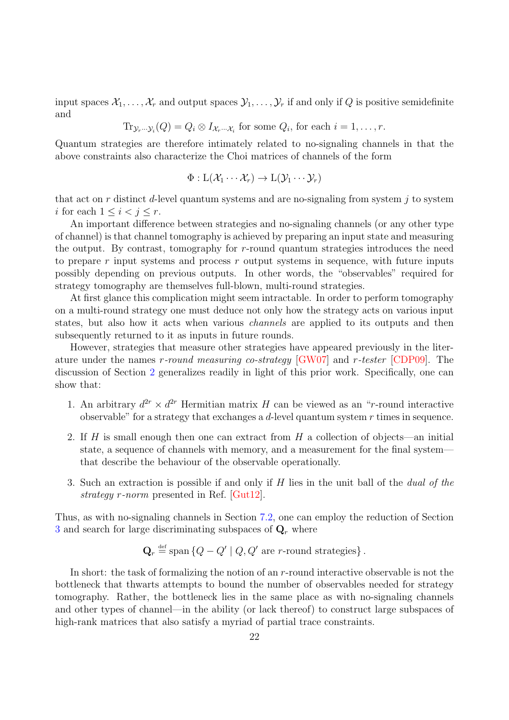input spaces  $\mathcal{X}_1, \ldots, \mathcal{X}_r$  and output spaces  $\mathcal{Y}_1, \ldots, \mathcal{Y}_r$  if and only if Q is positive semidefinite and

 $\text{Tr}_{\mathcal{Y}_r\cdots\mathcal{Y}_i}(Q) = Q_i \otimes I_{\mathcal{X}_r\cdots\mathcal{X}_i}$  for some  $Q_i$ , for each  $i = 1, \ldots, r$ .

Quantum strategies are therefore intimately related to no-signaling channels in that the above constraints also characterize the Choi matrices of channels of the form

$$
\Phi: L(\mathcal{X}_1 \cdots \mathcal{X}_r) \to L(\mathcal{Y}_1 \cdots \mathcal{Y}_r)
$$

that act on r distinct d-level quantum systems and are no-signaling from system  $j$  to system i for each  $1 \leq i < j \leq r$ .

An important difference between strategies and no-signaling channels (or any other type of channel) is that channel tomography is achieved by preparing an input state and measuring the output. By contrast, tomography for  $r$ -round quantum strategies introduces the need to prepare  $r$  input systems and process  $r$  output systems in sequence, with future inputs possibly depending on previous outputs. In other words, the "observables" required for strategy tomography are themselves full-blown, multi-round strategies.

At first glance this complication might seem intractable. In order to perform tomography on a multi-round strategy one must deduce not only how the strategy acts on various input states, but also how it acts when various channels are applied to its outputs and then subsequently returned to it as inputs in future rounds.

However, strategies that measure other strategies have appeared previously in the literature under the names r-round measuring co-strategy [\[GW07\]](#page-23-5) and r-tester [\[CDP09\]](#page-23-6). The discussion of Section [2](#page-4-0) generalizes readily in light of this prior work. Specifically, one can show that:

- 1. An arbitrary  $d^{2r} \times d^{2r}$  Hermitian matrix H can be viewed as an "r-round interactive observable" for a strategy that exchanges a d-level quantum system  $r$  times in sequence.
- 2. If H is small enough then one can extract from H a collection of objects—an initial state, a sequence of channels with memory, and a measurement for the final system that describe the behaviour of the observable operationally.
- 3. Such an extraction is possible if and only if H lies in the unit ball of the dual of the strategy r-norm presented in Ref. [\[Gut12\]](#page-23-9).

Thus, as with no-signaling channels in Section [7.2,](#page-20-1) one can employ the reduction of Section [3](#page-6-0) and search for large discriminating subspaces of  $\mathbf{Q}_r$  where

$$
\mathbf{Q}_r \stackrel{\text{def}}{=} \text{span} \left\{ Q - Q' \mid Q, Q' \text{ are } r\text{-round strategies} \right\}.
$$

In short: the task of formalizing the notion of an r-round interactive observable is not the bottleneck that thwarts attempts to bound the number of observables needed for strategy tomography. Rather, the bottleneck lies in the same place as with no-signaling channels and other types of channel—in the ability (or lack thereof) to construct large subspaces of high-rank matrices that also satisfy a myriad of partial trace constraints.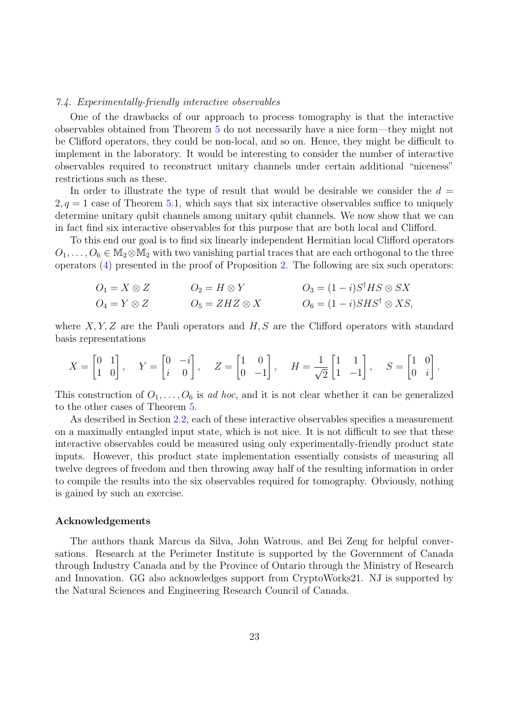#### <span id="page-22-0"></span>7.4. Experimentally-friendly interactive observables

One of the drawbacks of our approach to process tomography is that the interactive observables obtained from Theorem [5](#page-9-0) do not necessarily have a nice form—they might not be Clifford operators, they could be non-local, and so on. Hence, they might be difficult to implement in the laboratory. It would be interesting to consider the number of interactive observables required to reconstruct unitary channels under certain additional "niceness" restrictions such as these.

In order to illustrate the type of result that would be desirable we consider the  $d =$  $2, q = 1$  case of Theorem [5.](#page-9-0)1, which says that six interactive observables suffice to uniquely determine unitary qubit channels among unitary qubit channels. We now show that we can in fact find six interactive observables for this purpose that are both local and Clifford.

To this end our goal is to find six linearly independent Hermitian local Clifford operators  $O_1, \ldots, O_6 \in M_2 \otimes M_2$  with two vanishing partial traces that are each orthogonal to the three operators [\(4\)](#page-16-1) presented in the proof of Proposition [2.](#page-8-1) The following are six such operators:

$$
O_1 = X \otimes Z
$$
  
\n
$$
O_2 = H \otimes Y
$$
  
\n
$$
O_3 = (1 - i)S^{\dagger}HS \otimes SX
$$
  
\n
$$
O_4 = Y \otimes Z
$$
  
\n
$$
O_5 = ZHZ \otimes X
$$
  
\n
$$
O_6 = (1 - i)SHS^{\dagger} \otimes XS,
$$

where  $X, Y, Z$  are the Pauli operators and  $H, S$  are the Clifford operators with standard basis representations

$$
X = \begin{bmatrix} 0 & 1 \\ 1 & 0 \end{bmatrix}, \quad Y = \begin{bmatrix} 0 & -i \\ i & 0 \end{bmatrix}, \quad Z = \begin{bmatrix} 1 & 0 \\ 0 & -1 \end{bmatrix}, \quad H = \frac{1}{\sqrt{2}} \begin{bmatrix} 1 & 1 \\ 1 & -1 \end{bmatrix}, \quad S = \begin{bmatrix} 1 & 0 \\ 0 & i \end{bmatrix}.
$$

This construction of  $O_1, \ldots, O_6$  is ad hoc, and it is not clear whether it can be generalized to the other cases of Theorem [5.](#page-9-0)

As described in Section [2.2,](#page-4-2) each of these interactive observables specifies a measurement on a maximally entangled input state, which is not nice. It is not difficult to see that these interactive observables could be measured using only experimentally-friendly product state inputs. However, this product state implementation essentially consists of measuring all twelve degrees of freedom and then throwing away half of the resulting information in order to compile the results into the six observables required for tomography. Obviously, nothing is gained by such an exercise.

#### Acknowledgements

The authors thank Marcus da Silva, John Watrous, and Bei Zeng for helpful conversations. Research at the Perimeter Institute is supported by the Government of Canada through Industry Canada and by the Province of Ontario through the Ministry of Research and Innovation. GG also acknowledges support from CryptoWorks21. NJ is supported by the Natural Sciences and Engineering Research Council of Canada.